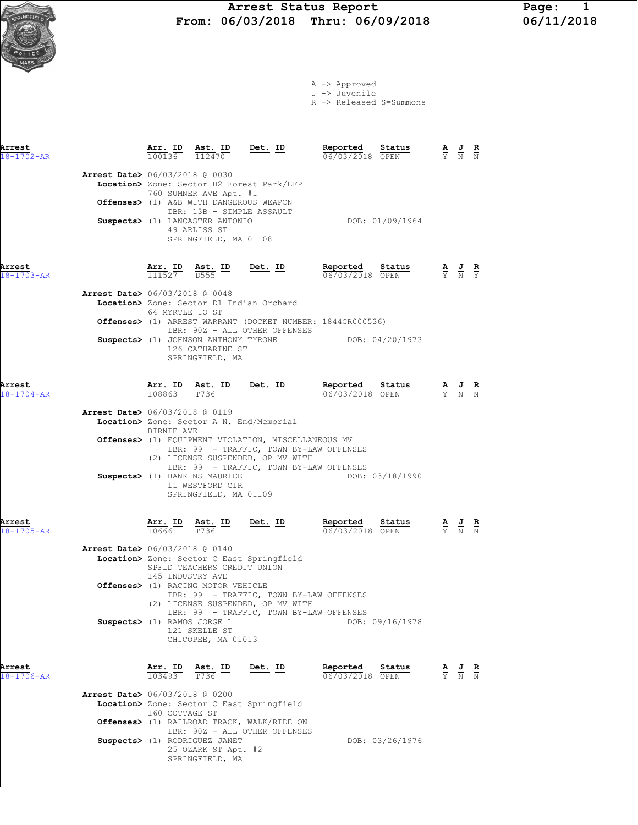# Arrest Status Report Page: 1<br>06/03/2018 Thru: 06/09/2018 06/11/2018  $\frac{N\text{GFTE}(I_0)}{N\text{GFTE}(I_0)}$  From: 06/03/2018 Thru: 06/09/2018



A -> Approved

J -> Juvenile R -> Released S=Summons

| Arrest<br>$18 - 1702 - AR$ |                                          |                 |                                                                                                                | $\frac{\texttt{Arr. ID}}{100136}$ $\frac{\texttt{ Ast. ID}}{112470}$ Det. ID                                                                                                   |                                           |                 |                                                                                                 |  |
|----------------------------|------------------------------------------|-----------------|----------------------------------------------------------------------------------------------------------------|--------------------------------------------------------------------------------------------------------------------------------------------------------------------------------|-------------------------------------------|-----------------|-------------------------------------------------------------------------------------------------|--|
|                            | Arrest Date> 06/03/2018 @ 0030           |                 | 760 SUMNER AVE Apt. #1                                                                                         | Location> Zone: Sector H2 Forest Park/EFP<br>Offenses> (1) A&B WITH DANGEROUS WEAPON<br>IBR: 13B - SIMPLE ASSAULT                                                              |                                           |                 |                                                                                                 |  |
|                            |                                          |                 | Suspects> (1) LANCASTER ANTONIO<br>49 ARLISS ST<br>SPRINGFIELD, MA 01108                                       |                                                                                                                                                                                |                                           | DOB: 01/09/1964 |                                                                                                 |  |
| Arrest<br>$18 - 1703 - AR$ |                                          |                 |                                                                                                                | $\frac{\text{Arr.}}{111527}$ $\frac{\text{dst.}}{0555}$ $\frac{\text{ID}}{2}$ $\frac{\text{Det.}}{2}$ $\frac{\text{ID}}{2}$                                                    | Reported Status $\frac{0.06}{0.03}{0.03}$ |                 | $\frac{\mathbf{A}}{\mathbf{Y}}$ $\frac{\mathbf{J}}{\mathbf{N}}$ $\frac{\mathbf{R}}{\mathbf{Y}}$ |  |
|                            | Arrest Date> 06/03/2018 @ 0048           | 64 MYRTLE IO ST |                                                                                                                | Location> Zone: Sector D1 Indian Orchard                                                                                                                                       |                                           |                 |                                                                                                 |  |
|                            |                                          |                 |                                                                                                                | Offenses> (1) ARREST WARRANT (DOCKET NUMBER: 1844CR000536)<br>IBR: 90Z - ALL OTHER OFFENSES                                                                                    |                                           |                 |                                                                                                 |  |
|                            |                                          |                 | 126 CATHARINE ST<br>SPRINGFIELD, MA                                                                            | Suspects> (1) JOHNSON ANTHONY TYRONE                                                                                                                                           |                                           | DOB: 04/20/1973 |                                                                                                 |  |
| Arrest<br>$18 - 1704 - AR$ |                                          |                 |                                                                                                                | $\frac{\texttt{Arr. ID}}{108863}$ $\frac{\texttt{ Ast. ID}}{T736}$ Det. ID                                                                                                     | Reported Status<br>06/03/2018 OPEN        |                 | $\frac{\mathbf{A}}{\mathbf{Y}}$ $\frac{\mathbf{J}}{\mathbf{N}}$ $\frac{\mathbf{R}}{\mathbf{N}}$ |  |
|                            | <b>Arrest Date&gt;</b> 06/03/2018 @ 0119 |                 |                                                                                                                | Location> Zone: Sector A N. End/Memorial                                                                                                                                       |                                           |                 |                                                                                                 |  |
|                            |                                          | BIRNIE AVE      |                                                                                                                | Offenses> (1) EQUIPMENT VIOLATION, MISCELLANEOUS MV<br>IBR: 99 - TRAFFIC, TOWN BY-LAW OFFENSES<br>(2) LICENSE SUSPENDED, OP MV WITH<br>IBR: 99 - TRAFFIC, TOWN BY-LAW OFFENSES |                                           |                 |                                                                                                 |  |
|                            |                                          |                 | Suspects> (1) HANKINS MAURICE<br>11 WESTFORD CIR<br>SPRINGFIELD, MA 01109                                      |                                                                                                                                                                                |                                           | DOB: 03/18/1990 |                                                                                                 |  |
| Arrest<br>$18 - 1705 - AR$ |                                          |                 | $\frac{\texttt{Arr.}}{106661}$ $\frac{\texttt{ Ast.}}{T736}$ $\frac{\texttt{ID}}{T}$ $\frac{\texttt{Det.}}{T}$ |                                                                                                                                                                                | Reported Status<br>06/03/2018 OPEN        |                 | $\frac{\mathbf{A}}{\mathbf{Y}}$ $\frac{\mathbf{J}}{\mathbf{N}}$ $\frac{\mathbf{R}}{\mathbf{N}}$ |  |
|                            | <b>Arrest Date&gt;</b> 06/03/2018 @ 0140 |                 |                                                                                                                | Transland Real, Assien A Best Augustin 14                                                                                                                                      |                                           |                 |                                                                                                 |  |

**Location>** Zone: Sector C East Springfield SPFLD TEACHERS CREDIT UNION 145 INDUSTRY AVE Offenses> (1) RACING MOTOR VEHICLE IBR: 99 - TRAFFIC, TOWN BY-LAW OFFENSES (2) LICENSE SUSPENDED, OP MV WITH IBR: 99 - TRAFFIC, TOWN BY-LAW OFFENSES Suspects> (1) RAMOS JORGE L DOB: 09/16/1978 121 SKELLE ST CHICOPEE, MA 01013

| Arrest<br>18-1706-AR | Ast. ID<br>Det. ID<br>Arr. ID<br>T736<br>103493                             | Status<br>Reported<br>06/03/2018 OPEN | R<br>프<br>≙<br>Y N<br>N |
|----------------------|-----------------------------------------------------------------------------|---------------------------------------|-------------------------|
|                      | Arrest Date> 06/03/2018 @ 0200                                              |                                       |                         |
|                      | Location> Zone: Sector C East Springfield<br>160 COTTAGE ST                 |                                       |                         |
|                      | Offenses> (1) RAILROAD TRACK, WALK/RIDE ON<br>IBR: 90Z - ALL OTHER OFFENSES |                                       |                         |
|                      | Suspects> (1) RODRIGUEZ JANET<br>25 OZARK ST Apt. #2<br>SPRINGFIELD, MA     | DOB: 03/26/1976                       |                         |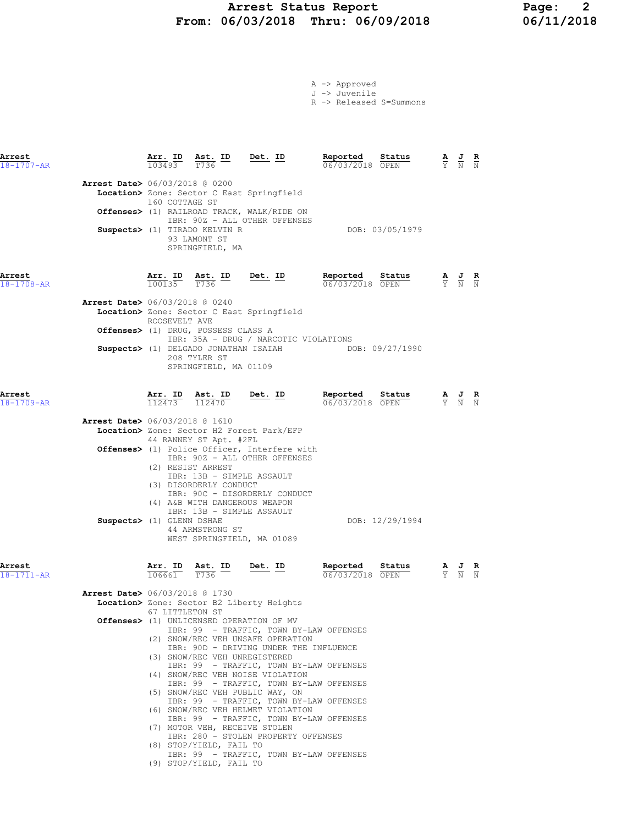# Arrest Status Report Page: 2<br>16/03/2018 Thru: 06/09/2018 06/11/2018 From:  $06/03/2018$  Thru:  $06/09/2018$

|  | A -> Approved |
|--|---------------|
|  | J -> Juvenile |

R -> Released S=Summons

| Arrest<br>$18 - 1707 - AR$ |                                          | Arr. ID<br>103493                                           | Ast. ID<br>T736                                                                                           | Det. ID                                                                                                                                                   | Reported<br>06/03/2018 OPEN                           | Status          |                                                                                                 | $\frac{\mathbf{A}}{\mathbf{Y}}$ $\frac{\mathbf{J}}{\mathbf{N}}$ $\frac{\mathbf{R}}{\mathbf{N}}$ |  |
|----------------------------|------------------------------------------|-------------------------------------------------------------|-----------------------------------------------------------------------------------------------------------|-----------------------------------------------------------------------------------------------------------------------------------------------------------|-------------------------------------------------------|-----------------|-------------------------------------------------------------------------------------------------|-------------------------------------------------------------------------------------------------|--|
|                            | <b>Arrest Date&gt;</b> 06/03/2018 @ 0200 | 160 COTTAGE ST                                              |                                                                                                           | Location> Zone: Sector C East Springfield<br>Offenses> (1) RAILROAD TRACK, WALK/RIDE ON                                                                   |                                                       |                 |                                                                                                 |                                                                                                 |  |
|                            |                                          |                                                             | Suspects> (1) TIRADO KELVIN R<br>93 LAMONT ST<br>SPRINGFIELD, MA                                          | IBR: 90Z - ALL OTHER OFFENSES                                                                                                                             |                                                       | DOB: 03/05/1979 |                                                                                                 |                                                                                                 |  |
| Arrest<br>$18 - 1708 - AR$ |                                          | $\frac{\text{Arr.}}{100135}$ $\frac{\text{ Ast.}}{T736}$ ID |                                                                                                           | $Det. ID$                                                                                                                                                 | Reported Status<br>06/03/2018 OPEN                    |                 | $\frac{\mathbf{A}}{\mathrm{Y}}$ $\frac{\mathbf{J}}{\mathrm{N}}$ $\frac{\mathbf{R}}{\mathrm{N}}$ |                                                                                                 |  |
|                            | <b>Arrest Date&gt;</b> 06/03/2018 @ 0240 | ROOSEVELT AVE                                               |                                                                                                           | Location> Zone: Sector C East Springfield                                                                                                                 |                                                       |                 |                                                                                                 |                                                                                                 |  |
|                            |                                          |                                                             | Offenses> (1) DRUG, POSSESS CLASS A<br>208 TYLER ST                                                       | IBR: 35A - DRUG / NARCOTIC VIOLATIONS                                                                                                                     | Suspects> (1) DELGADO JONATHAN ISAIAH DOB: 09/27/1990 |                 |                                                                                                 |                                                                                                 |  |
|                            |                                          |                                                             | SPRINGFIELD, MA 01109                                                                                     |                                                                                                                                                           |                                                       |                 |                                                                                                 |                                                                                                 |  |
| Arrest<br>$18 - 1709 - AR$ |                                          |                                                             | $\frac{\texttt{Arr.}}{112473}$ $\frac{\texttt{ Ast.}}{112470}$ $\frac{\texttt{Det.}}{1}$                  |                                                                                                                                                           | Reported Status<br>06/03/2018 OPEN                    |                 |                                                                                                 | $\frac{\mathbf{A}}{\mathbf{Y}}$ $\frac{\mathbf{J}}{\mathbf{N}}$ $\frac{\mathbf{R}}{\mathbf{N}}$ |  |
|                            | <b>Arrest Date&gt;</b> 06/03/2018 @ 1610 |                                                             | 44 RANNEY ST Apt. #2FL                                                                                    | Location> Zone: Sector H2 Forest Park/EFP                                                                                                                 |                                                       |                 |                                                                                                 |                                                                                                 |  |
|                            |                                          |                                                             | (2) RESIST ARREST<br>IBR: 13B - SIMPLE ASSAULT<br>(3) DISORDERLY CONDUCT<br>(4) A&B WITH DANGEROUS WEAPON | Offenses> (1) Police Officer, Interfere with<br>IBR: 90Z - ALL OTHER OFFENSES<br>IBR: 90C - DISORDERLY CONDUCT                                            |                                                       |                 |                                                                                                 |                                                                                                 |  |
|                            | Suspects> (1) GLENN DSHAE                |                                                             | IBR: 13B - SIMPLE ASSAULT<br>44 ARMSTRONG ST                                                              | WEST SPRINGFIELD, MA 01089                                                                                                                                |                                                       | DOB: 12/29/1994 |                                                                                                 |                                                                                                 |  |
| Arrest<br>18-1711-AR       |                                          | $\frac{\texttt{Arr.}}{106661}$                              | $\frac{\text{Ast.}}{\text{T}736}$ ID                                                                      | <u>Det.</u> ID                                                                                                                                            | Reported<br>06/03/2018 OPEN                           | Status          |                                                                                                 | $\frac{\mathbf{A}}{\mathbf{Y}}$ $\frac{\mathbf{J}}{\mathbf{N}}$ $\frac{\mathbf{R}}{\mathbf{N}}$ |  |
|                            | Arrest Date> 06/03/2018 @ 1730           |                                                             |                                                                                                           |                                                                                                                                                           |                                                       |                 |                                                                                                 |                                                                                                 |  |
|                            |                                          | 67 LITTLETON ST                                             |                                                                                                           | Location> Zone: Sector B2 Liberty Heights                                                                                                                 |                                                       |                 |                                                                                                 |                                                                                                 |  |
|                            |                                          |                                                             |                                                                                                           | Offenses> (1) UNLICENSED OPERATION OF MV<br>IBR: 99 - TRAFFIC, TOWN BY-LAW OFFENSES<br>(2) SNOW/REC VEH UNSAFE OPERATION                                  |                                                       |                 |                                                                                                 |                                                                                                 |  |
|                            |                                          |                                                             | (3) SNOW/REC VEH UNREGISTERED                                                                             | IBR: 90D - DRIVING UNDER THE INFLUENCE<br>IBR: 99 - TRAFFIC, TOWN BY-LAW OFFENSES                                                                         |                                                       |                 |                                                                                                 |                                                                                                 |  |
|                            |                                          |                                                             |                                                                                                           | (4) SNOW/REC VEH NOISE VIOLATION<br>IBR: 99 - TRAFFIC, TOWN BY-LAW OFFENSES<br>(5) SNOW/REC VEH PUBLIC WAY, ON<br>IBR: 99 - TRAFFIC, TOWN BY-LAW OFFENSES |                                                       |                 |                                                                                                 |                                                                                                 |  |
|                            |                                          |                                                             | (7) MOTOR VEH, RECEIVE STOLEN                                                                             | (6) SNOW/REC VEH HELMET VIOLATION<br>IBR: 99 - TRAFFIC, TOWN BY-LAW OFFENSES                                                                              |                                                       |                 |                                                                                                 |                                                                                                 |  |
|                            |                                          |                                                             | (8) STOP/YIELD, FAIL TO<br>(9) STOP/YIELD, FAIL TO                                                        | IBR: 280 - STOLEN PROPERTY OFFENSES<br>IBR: 99 - TRAFFIC, TOWN BY-LAW OFFENSES                                                                            |                                                       |                 |                                                                                                 |                                                                                                 |  |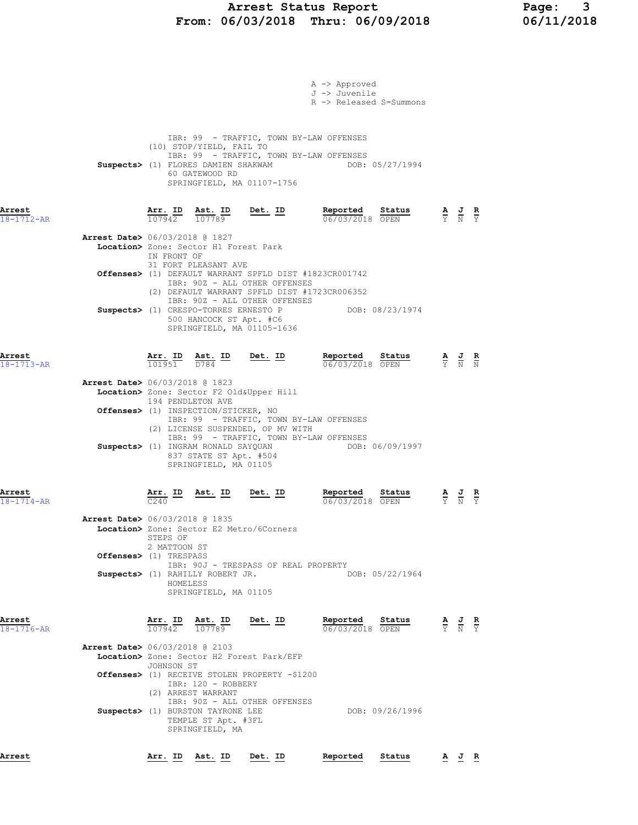### Arrest Status Report Page: 3 From: 06/03/2018 Thru: 06/09/2018 06/11/2018

| Arrest                     |                                                                    | Arr. ID                              | Ast. ID                                                                                                                 | Det. ID                                                                                                                                     | Reported                                                                                                          | Status                    |                                                                                                 | $\underline{A}$ $\underline{J}$ $\underline{R}$                                                 |               |
|----------------------------|--------------------------------------------------------------------|--------------------------------------|-------------------------------------------------------------------------------------------------------------------------|---------------------------------------------------------------------------------------------------------------------------------------------|-------------------------------------------------------------------------------------------------------------------|---------------------------|-------------------------------------------------------------------------------------------------|-------------------------------------------------------------------------------------------------|---------------|
|                            |                                                                    | JOHNSON ST                           | IBR: 120 - ROBBERY<br>(2) ARREST WARRANT<br>Suspects> (1) BURSTON TAYRONE LEE<br>TEMPLE ST Apt. #3FL<br>SPRINGFIELD, MA | Location> Zone: Sector H2 Forest Park/EFP<br>Offenses> (1) RECEIVE STOLEN PROPERTY -\$1200<br>IBR: 90Z - ALL OTHER OFFENSES                 |                                                                                                                   | DOB: 09/26/1996           |                                                                                                 |                                                                                                 |               |
| Arrest<br>18-1716-AR       | <b>Arrest Date&gt;</b> 06/03/2018 @ 2103                           |                                      | $\frac{\texttt{Arr.}}{107942}$ $\frac{\texttt{Ab.}}{107789}$                                                            | <u>Det. ID</u>                                                                                                                              | Reported Status<br>06/03/2018 OPEN                                                                                |                           |                                                                                                 | $\frac{\mathbf{A}}{\mathbf{Y}}$ $\frac{\mathbf{J}}{\mathbf{N}}$ $\frac{\mathbf{R}}{\mathbf{Y}}$ |               |
|                            | <b>Arrest Date&gt;</b> 06/03/2018 @ 1835<br>Offenses> (1) TRESPASS | STEPS OF<br>2 MATTOON ST<br>HOMELESS | Suspects> (1) RAHILLY ROBERT JR.<br>SPRINGFIELD, MA 01105                                                               | Location> Zone: Sector E2 Metro/6Corners<br>IBR: 90J - TRESPASS OF REAL PROPERTY                                                            |                                                                                                                   | DOB: 05/22/1964           |                                                                                                 |                                                                                                 |               |
| Arrest<br>$18 - 1714 - AR$ |                                                                    | C <sub>240</sub>                     | Suspects> (1) INGRAM RONALD SAYQUAN<br>837 STATE ST Apt. #504<br>SPRINGFIELD, MA 01105<br><u>Arr. ID Ast. ID</u>        | Det. ID                                                                                                                                     | IBR: 99 - TRAFFIC, TOWN BY-LAW OFFENSES<br>DOB: 06/09/1997<br>Reported<br>06/03/2018 OPEN                         | Status                    |                                                                                                 | $\frac{\mathbf{A}}{\mathbf{Y}}$ $\frac{\mathbf{J}}{\mathbf{N}}$                                 | $\frac{R}{Y}$ |
| 18-1713-AR                 | <b>Arrest Date&gt;</b> 06/03/2018 @ 1823                           | 194 PENDLETON AVE                    | $\frac{\texttt{Arr. ID}}{101951}$ $\frac{\texttt{ Ast. ID}}{D784}$<br>Offenses> (1) INSPECTION/STICKER, NO              | Location> Zone: Sector F2 Old&Upper Hill<br>(2) LICENSE SUSPENDED, OP MV WITH                                                               | 06/03/2018 OPEN<br>IBR: 99 - TRAFFIC, TOWN BY-LAW OFFENSES                                                        |                           |                                                                                                 | $\frac{\mathbf{A}}{\mathbf{Y}}$ $\frac{\mathbf{J}}{\mathbf{N}}$ $\frac{\mathbf{R}}{\mathbf{N}}$ |               |
| Arrest                     |                                                                    | Arr. ID                              |                                                                                                                         | SPRINGFIELD, MA 01105-1636<br><u>Det. ID</u>                                                                                                | Reported                                                                                                          | Status                    |                                                                                                 |                                                                                                 |               |
|                            |                                                                    |                                      | 500 HANCOCK ST Apt. #C6                                                                                                 | IBR: 90Z - ALL OTHER OFFENSES<br>IBR: 90Z - ALL OTHER OFFENSES                                                                              | (2) DEFAULT WARRANT SPFLD DIST #1723CR006352<br>Suspects> (1) CRESPO-TORRES ERNESTO P DOB: 08/23/1974             |                           |                                                                                                 |                                                                                                 |               |
|                            | <b>Arrest Date&gt;</b> 06/03/2018 @ 1827                           | IN FRONT OF                          | Location> Zone: Sector H1 Forest Park<br>31 FORT PLEASANT AVE                                                           |                                                                                                                                             | Offenses> (1) DEFAULT WARRANT SPFLD DIST #1823CR001742                                                            |                           |                                                                                                 |                                                                                                 |               |
| Arrest<br>18-1712-AR       |                                                                    |                                      | (10) STOP/YIELD, FAIL TO<br>60 GATEWOOD RD                                                                              | Suspects> (1) FLORES DAMIEN SHAKWAM<br>SPRINGFIELD, MA 01107-1756<br>$\frac{\texttt{Arr.}}{107942}$ $\frac{\texttt{ Ast.}}{107789}$ Det. ID | IBR: 99 - TRAFFIC, TOWN BY-LAW OFFENSES<br>IBR: 99 - TRAFFIC, TOWN BY-LAW OFFENSES<br>Reported<br>06/03/2018 OPEN | DOB: 05/27/1994<br>Status | $\frac{\mathbf{A}}{\mathbf{Y}}$ $\frac{\mathbf{J}}{\mathbf{N}}$ $\frac{\mathbf{R}}{\mathbf{Y}}$ |                                                                                                 |               |
|                            |                                                                    |                                      |                                                                                                                         |                                                                                                                                             | A -> Approved<br>J -> Juvenile<br>R -> Released S=Summons                                                         |                           |                                                                                                 |                                                                                                 |               |
|                            |                                                                    |                                      |                                                                                                                         |                                                                                                                                             |                                                                                                                   |                           |                                                                                                 |                                                                                                 |               |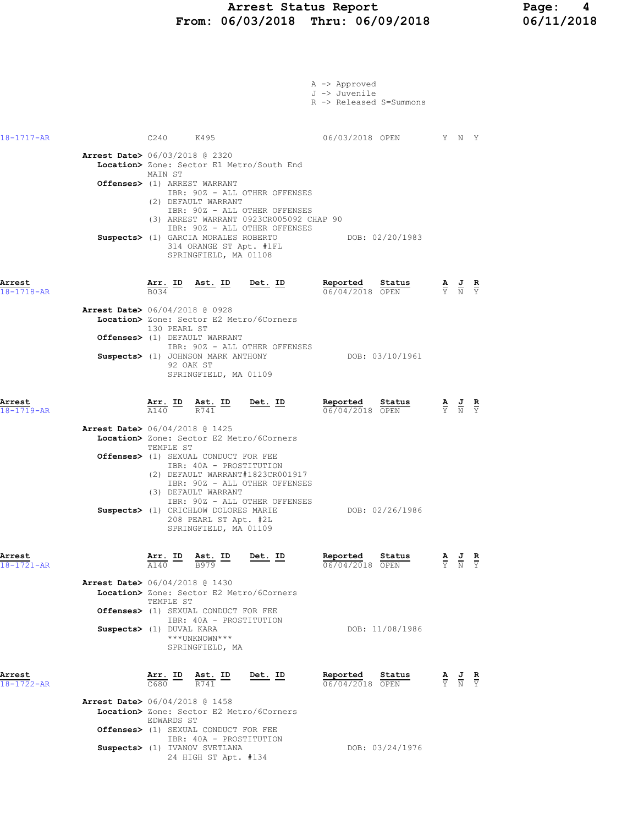### Arrest Status Report Page: 4 From: 06/03/2018 Thru: 06/09/2018 06/11/2018

|                            |                                                                                                                                                                                                                                                                                               | A -> Approved<br>J -> Juvenile<br>R -> Released S=Summons |                                                                                                       |
|----------------------------|-----------------------------------------------------------------------------------------------------------------------------------------------------------------------------------------------------------------------------------------------------------------------------------------------|-----------------------------------------------------------|-------------------------------------------------------------------------------------------------------|
| 18-1717-AR                 | C240 K495                                                                                                                                                                                                                                                                                     | 06/03/2018 OPEN Y N Y                                     |                                                                                                       |
|                            | <b>Arrest Date&gt;</b> 06/03/2018 @ 2320<br>Location> Zone: Sector E1 Metro/South End<br>MAIN ST                                                                                                                                                                                              |                                                           |                                                                                                       |
|                            | Offenses> (1) ARREST WARRANT<br>IBR: 90Z - ALL OTHER OFFENSES<br>(2) DEFAULT WARRANT<br>IBR: 90Z - ALL OTHER OFFENSES<br>(3) ARREST WARRANT 0923CR005092 CHAP 90<br>IBR: 90Z - ALL OTHER OFFENSES<br>Suspects> (1) GARCIA MORALES ROBERTO<br>314 ORANGE ST Apt. #1FL<br>SPRINGFIELD, MA 01108 | DOB: 02/20/1983                                           |                                                                                                       |
| Arrest<br>$18 - 1718 - AR$ | Ast. ID Det. ID<br><u>Arr. ID</u><br>B034                                                                                                                                                                                                                                                     | Reported<br><u>Status</u><br>06/04/2018 OPEN              | $\frac{\mathbf{A}}{\mathbf{Y}}$ $\frac{\mathbf{J}}{\mathbf{N}}$ $\frac{\mathbf{R}}{\mathbf{Y}}$       |
|                            | <b>Arrest Date&gt;</b> 06/04/2018 @ 0928<br>Location> Zone: Sector E2 Metro/6Corners<br>130 PEARL ST<br>Offenses> (1) DEFAULT WARRANT                                                                                                                                                         |                                                           |                                                                                                       |
|                            | IBR: 90Z - ALL OTHER OFFENSES<br>Suspects> (1) JOHNSON MARK ANTHONY<br>92 OAK ST<br>SPRINGFIELD, MA 01109                                                                                                                                                                                     | DOB: 03/10/1961                                           |                                                                                                       |
| Arrest<br>18-1719-AR       | $Det. ID$<br>$\frac{\texttt{Arr.}}{\texttt{A140}}$ ID<br>$\frac{\texttt{Ast.}}{R741}$ ID                                                                                                                                                                                                      | Reported<br>Status<br>06/04/2018 OPEN                     | $\frac{\mathbf{A}}{\overline{Y}}$ $\frac{\mathbf{J}}{\overline{N}}$ $\frac{\mathbf{R}}{\overline{Y}}$ |
|                            | <b>Arrest Date&gt;</b> 06/04/2018 @ 1425<br>Location> Zone: Sector E2 Metro/6Corners<br>TEMPLE ST<br>Offenses> (1) SEXUAL CONDUCT FOR FEE<br>IBR: 40A - PROSTITUTION<br>(2) DEFAULT WARRANT#1823CR001917<br>IBR: 90Z - ALL OTHER OFFENSES<br>(3) DEFAULT WARRANT                              |                                                           |                                                                                                       |
|                            | IBR: 90Z - ALL OTHER OFFENSES<br>Suspects> (1) CRICHLOW DOLORES MARIE<br>208 PEARL ST Apt. #2L<br>SPRINGFIELD, MA 01109                                                                                                                                                                       | DOB: 02/26/1986                                           |                                                                                                       |
| Arrest<br>18-1721-AR       | $\frac{\texttt{Arr.}}{\text{A140}}$ ID<br>Ast. ID<br>Det. ID<br><b>B979</b><br><b>Arrest Date&gt;</b> 06/04/2018 @ 1430<br>Location> Zone: Sector E2 Metro/6Corners<br>TEMPLE ST                                                                                                              | Reported<br>Status<br>06/04/2018 OPEN                     | $\frac{\mathbf{R}}{\mathbf{Y}}$<br>$\frac{\mathbf{A}}{\nabla}$                                        |
|                            | <b>Offenses&gt;</b> (1) SEXUAL CONDUCT FOR FEE<br>IBR: 40A - PROSTITUTION<br>Suspects> (1) DUVAL KARA<br>***UNKNOWN***<br>SPRINGFIELD, MA                                                                                                                                                     | DOB: 11/08/1986                                           |                                                                                                       |
| Arrest<br>$18 - 1722 - AR$ | Arr. ID<br>Ast. ID<br>Det. ID<br>C680<br>R741                                                                                                                                                                                                                                                 | Reported<br>Status<br>06/04/2018 OPEN                     | $\frac{\mathbf{A}}{\mathbf{Y}}$ $\frac{\mathbf{J}}{\mathbf{N}}$ $\frac{\mathbf{R}}{\mathbf{Y}}$       |
|                            | <b>Arrest Date&gt;</b> 06/04/2018 @ 1458<br>Location> Zone: Sector E2 Metro/6Corners<br>EDWARDS ST<br><b>Offenses&gt;</b> (1) SEXUAL CONDUCT FOR FEE                                                                                                                                          |                                                           |                                                                                                       |
|                            | IBR: 40A - PROSTITUTION<br>Suspects> (1) IVANOV SVETLANA<br>24 HIGH ST Apt. #134                                                                                                                                                                                                              | DOB: 03/24/1976                                           |                                                                                                       |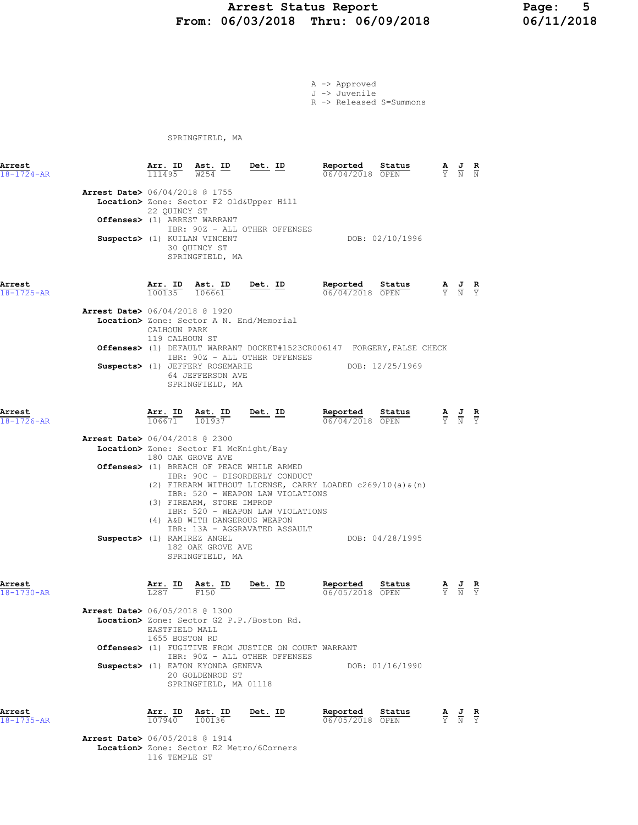### Arrest Status Report Page: 5 From: 06/03/2018 Thru: 06/09/2018

A -> Approved J -> Juvenile

R -> Released S=Summons

SPRINGFIELD, MA

| Arrest<br>$18 - 1724 - AR$ |                                          | Arr. ID<br>111495              | Ast. ID<br>W254                                                                                 | Det. ID                                                                                                                                                                                                          | Reported<br>06/04/2018 OPEN | Status          | A |                                                                                                 | $\frac{\mathbf{R}}{N}$ |
|----------------------------|------------------------------------------|--------------------------------|-------------------------------------------------------------------------------------------------|------------------------------------------------------------------------------------------------------------------------------------------------------------------------------------------------------------------|-----------------------------|-----------------|---|-------------------------------------------------------------------------------------------------|------------------------|
|                            | <b>Arrest Date&gt;</b> 06/04/2018 @ 1755 | 22 QUINCY ST                   | Offenses> (1) ARREST WARRANT<br>Suspects> (1) KUILAN VINCENT<br>30 QUINCY ST<br>SPRINGFIELD, MA | Location> Zone: Sector F2 Old&Upper Hill<br>IBR: 90Z - ALL OTHER OFFENSES                                                                                                                                        |                             | DOB: 02/10/1996 |   |                                                                                                 |                        |
| Arrest<br>18-1725-AR       |                                          | $100135$ $106661$              | Arr. ID Ast. ID                                                                                 | Det. ID                                                                                                                                                                                                          | Reported<br>06/04/2018 OPEN | Status          |   | $\frac{\mathbf{A}}{\mathbf{Y}}$ $\frac{\mathbf{J}}{\mathbf{N}}$ $\frac{\mathbf{R}}{\mathbf{Y}}$ |                        |
|                            | <b>Arrest Date&gt;</b> 06/04/2018 @ 1920 | CALHOUN PARK<br>119 CALHOUN ST |                                                                                                 | Location> Zone: Sector A N. End/Memorial                                                                                                                                                                         |                             |                 |   |                                                                                                 |                        |
|                            |                                          |                                |                                                                                                 | Offenses> (1) DEFAULT WARRANT DOCKET#1523CR006147 FORGERY, FALSE CHECK                                                                                                                                           |                             |                 |   |                                                                                                 |                        |
|                            |                                          |                                | Suspects> (1) JEFFERY ROSEMARIE<br>64 JEFFERSON AVE<br>SPRINGFIELD, MA                          | IBR: 90Z - ALL OTHER OFFENSES                                                                                                                                                                                    |                             | DOB: 12/25/1969 |   |                                                                                                 |                        |
| Arrest<br>18-1726-AR       |                                          | Arr. ID<br>106671              | Ast. ID<br>101937                                                                               | <u>Det. ID</u>                                                                                                                                                                                                   | Reported<br>06/04/2018 OPEN | Status          |   | $\frac{\mathbf{A}}{\mathbf{Y}}$ $\frac{\mathbf{J}}{\mathbf{N}}$ $\frac{\mathbf{R}}{\mathbf{Y}}$ |                        |
|                            | Arrest Date> 06/04/2018 @ 2300           |                                | Location> Zone: Sector F1 McKnight/Bay                                                          |                                                                                                                                                                                                                  |                             |                 |   |                                                                                                 |                        |
|                            |                                          |                                | 180 OAK GROVE AVE<br>(3) FIREARM, STORE IMPROP                                                  | Offenses> (1) BREACH OF PEACE WHILE ARMED<br>IBR: 90C - DISORDERLY CONDUCT<br>(2) FIREARM WITHOUT LICENSE, CARRY LOADED c269/10(a) & (n)<br>IBR: 520 - WEAPON LAW VIOLATIONS<br>IBR: 520 - WEAPON LAW VIOLATIONS |                             |                 |   |                                                                                                 |                        |
|                            | Suspects> (1) RAMIREZ ANGEL              |                                | (4) A&B WITH DANGEROUS WEAPON<br>182 OAK GROVE AVE<br>SPRINGFIELD, MA                           | IBR: 13A - AGGRAVATED ASSAULT                                                                                                                                                                                    |                             | DOB: 04/28/1995 |   |                                                                                                 |                        |
| Arrest<br>18-1730-AR       |                                          | Arr. ID<br>L287                | <u>Ast. ID</u><br>F <sub>150</sub>                                                              | Det. ID                                                                                                                                                                                                          | Reported<br>06/05/2018 OPEN | Status          |   | $\frac{\mathbf{A}}{\mathbf{Y}}$ $\frac{\mathbf{J}}{\mathbf{N}}$                                 | $\frac{R}{Y}$          |
|                            | Arrest Date> 06/05/2018 @ 1300           | 1655 BOSTON RD                 | EASTFIELD MALL                                                                                  | Location> Zone: Sector G2 P.P./Boston Rd.                                                                                                                                                                        |                             |                 |   |                                                                                                 |                        |
|                            |                                          |                                |                                                                                                 | Offenses> (1) FUGITIVE FROM JUSTICE ON COURT WARRANT<br>IBR: 90Z - ALL OTHER OFFENSES                                                                                                                            |                             |                 |   |                                                                                                 |                        |
|                            |                                          |                                | Suspects> (1) EATON KYONDA GENEVA<br>20 GOLDENROD ST<br>SPRINGFIELD, MA 01118                   |                                                                                                                                                                                                                  |                             | DOB: 01/16/1990 |   |                                                                                                 |                        |
| Arrest<br>18-1735-AR       |                                          | Arr. ID<br>107940              | <u>Ast. ID</u><br>100136                                                                        | Det. ID                                                                                                                                                                                                          | Reported<br>06/05/2018 OPEN | Status          |   | $\frac{\mathbf{A}}{\mathbf{Y}}$ $\frac{\mathbf{J}}{\mathbf{N}}$ $\frac{\mathbf{R}}{\mathbf{Y}}$ |                        |

Arrest Date> 06/05/2018 @ 1914 Location> Zone: Sector E2 Metro/6Corners 116 TEMPLE ST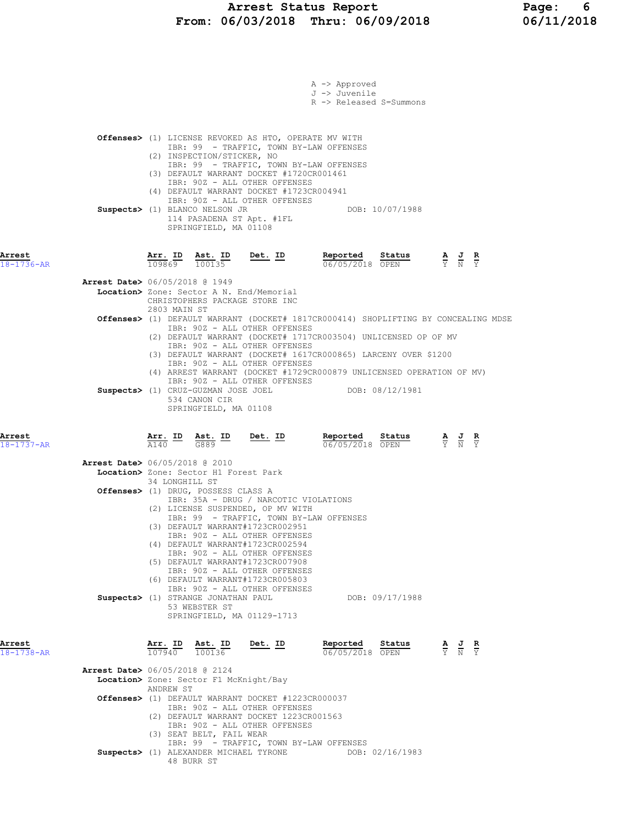|                            |                                                                                                            | A -> Approved                                                                                             |                                                                                     |
|----------------------------|------------------------------------------------------------------------------------------------------------|-----------------------------------------------------------------------------------------------------------|-------------------------------------------------------------------------------------|
|                            |                                                                                                            | J -> Juvenile                                                                                             |                                                                                     |
|                            |                                                                                                            | R -> Released S=Summons                                                                                   |                                                                                     |
|                            |                                                                                                            |                                                                                                           |                                                                                     |
|                            | Offenses> (1) LICENSE REVOKED AS HTO, OPERATE MV WITH                                                      |                                                                                                           |                                                                                     |
|                            | IBR: 99 - TRAFFIC, TOWN BY-LAW OFFENSES<br>(2) INSPECTION/STICKER, NO                                      |                                                                                                           |                                                                                     |
|                            | IBR: 99 - TRAFFIC, TOWN BY-LAW OFFENSES                                                                    |                                                                                                           |                                                                                     |
|                            | (3) DEFAULT WARRANT DOCKET #1720CR001461<br>IBR: 90Z - ALL OTHER OFFENSES                                  |                                                                                                           |                                                                                     |
|                            | (4) DEFAULT WARRANT DOCKET #1723CR004941                                                                   |                                                                                                           |                                                                                     |
|                            | IBR: 90Z - ALL OTHER OFFENSES<br>Suspects> (1) BLANCO NELSON JR                                            | DOB: 10/07/1988                                                                                           |                                                                                     |
|                            | 114 PASADENA ST Apt. #1FL                                                                                  |                                                                                                           |                                                                                     |
|                            | SPRINGFIELD, MA 01108                                                                                      |                                                                                                           |                                                                                     |
|                            |                                                                                                            |                                                                                                           |                                                                                     |
| Arrest<br>$18 - 1736 - AR$ | <b>Arr. ID</b> Ast. ID Det. ID Reported Status A J R<br>109869 100135 <b>Det. ID</b> Reported Status A J R | 06/05/2018 OPEN                                                                                           |                                                                                     |
|                            |                                                                                                            |                                                                                                           |                                                                                     |
|                            | <b>Arrest Date&gt;</b> 06/05/2018 @ 1949<br>Location> Zone: Sector A N. End/Memorial                       |                                                                                                           |                                                                                     |
|                            | CHRISTOPHERS PACKAGE STORE INC                                                                             |                                                                                                           |                                                                                     |
|                            | 2803 MAIN ST                                                                                               |                                                                                                           | Offenses> (1) DEFAULT WARRANT (DOCKET# 1817CR000414) SHOPLIFTING BY CONCEALING MDSE |
|                            | IBR: 90Z - ALL OTHER OFFENSES                                                                              |                                                                                                           |                                                                                     |
|                            | (2) DEFAULT WARRANT (DOCKET# 1717CR003504) UNLICENSED OP OF MV<br>IBR: 90Z - ALL OTHER OFFENSES            |                                                                                                           |                                                                                     |
|                            | (3) DEFAULT WARRANT (DOCKET# 1617CR000865) LARCENY OVER \$1200                                             |                                                                                                           |                                                                                     |
|                            | IBR: 90Z - ALL OTHER OFFENSES<br>(4) ARREST WARRANT (DOCKET #1729CR000879 UNLICENSED OPERATION OF MV)      |                                                                                                           |                                                                                     |
|                            | IBR: 90Z - ALL OTHER OFFENSES<br>Suspects> (1) CRUZ-GUZMAN JOSE JOEL                                       | DOB: 08/12/1981                                                                                           |                                                                                     |
|                            | 534 CANON CIR                                                                                              |                                                                                                           |                                                                                     |
|                            | SPRINGFIELD, MA 01108                                                                                      |                                                                                                           |                                                                                     |
|                            |                                                                                                            |                                                                                                           |                                                                                     |
| Arrest<br>$18 - 1737 - AR$ | $\frac{\text{Arr.}}{\text{A140}}$ ID $\frac{\text{Ast.}}{\text{G889}}$ ID                                  | <b>Det. ID Reported Status A J R</b> $\frac{1}{N}$ <b>R</b> $\frac{1}{N}$ <b>R</b> $\frac{1}{N}$ <b>R</b> |                                                                                     |
|                            |                                                                                                            |                                                                                                           |                                                                                     |
|                            | Arrest Date> 06/05/2018 @ 2010<br>Location> Zone: Sector H1 Forest Park                                    |                                                                                                           |                                                                                     |
|                            | 34 LONGHILL ST                                                                                             |                                                                                                           |                                                                                     |
|                            | Offenses> (1) DRUG, POSSESS CLASS A<br>IBR: 35A - DRUG / NARCOTIC VIOLATIONS                               |                                                                                                           |                                                                                     |
|                            | (2) LICENSE SUSPENDED, OP MV WITH                                                                          |                                                                                                           |                                                                                     |
|                            | IBR: 99 - TRAFFIC, TOWN BY-LAW OFFENSES<br>(3) DEFAULT WARRANT#1723CR002951                                |                                                                                                           |                                                                                     |
|                            | IBR: 90Z - ALL OTHER OFFENSES                                                                              |                                                                                                           |                                                                                     |
|                            | (4) DEFAULT WARRANT#1723CR002594<br>IBR: 90Z - ALL OTHER OFFENSES                                          |                                                                                                           |                                                                                     |
|                            | (5) DEFAULT WARRANT#1723CR007908                                                                           |                                                                                                           |                                                                                     |
|                            | IBR: 90Z - ALL OTHER OFFENSES<br>(6) DEFAULT WARRANT#1723CR005803                                          |                                                                                                           |                                                                                     |
|                            | IBR: 90Z - ALL OTHER OFFENSES                                                                              |                                                                                                           |                                                                                     |
|                            | Suspects> (1) STRANGE JONATHAN PAUL<br>53 WEBSTER ST                                                       |                                                                                                           | DOB: 09/17/1988                                                                     |
|                            | SPRINGFIELD, MA 01129-1713                                                                                 |                                                                                                           |                                                                                     |
|                            |                                                                                                            |                                                                                                           |                                                                                     |
| Arrest<br>$18 - 1738 - AR$ | Arr. ID Ast. ID<br>Det. ID<br>100136<br>107940                                                             | Reported<br>06/05/2018 OPEN                                                                               | Status<br>$\frac{\mathbf{A}}{\mathbf{Y}}$ $\frac{\mathbf{J}}{\mathbf{N}}$           |
|                            |                                                                                                            |                                                                                                           |                                                                                     |
|                            | Arrest Date> 06/05/2018 @ 2124<br>Location> Zone: Sector F1 McKnight/Bay                                   |                                                                                                           |                                                                                     |
|                            | ANDREW ST                                                                                                  |                                                                                                           |                                                                                     |
|                            | <b>Offenses&gt;</b> (1) DEFAULT WARRANT DOCKET #1223CR000037<br>IBR: 90Z - ALL OTHER OFFENSES              |                                                                                                           |                                                                                     |
|                            | (2) DEFAULT WARRANT DOCKET 1223CR001563                                                                    |                                                                                                           |                                                                                     |
|                            | IBR: 90Z - ALL OTHER OFFENSES<br>(3) SEAT BELT, FAIL WEAR                                                  |                                                                                                           |                                                                                     |
|                            | IBR: 99 - TRAFFIC, TOWN BY-LAW OFFENSES                                                                    |                                                                                                           |                                                                                     |
|                            | Suspects> (1) ALEXANDER MICHAEL TYRONE<br>48 BURR ST                                                       |                                                                                                           | DOB: 02/16/1983                                                                     |
|                            |                                                                                                            |                                                                                                           |                                                                                     |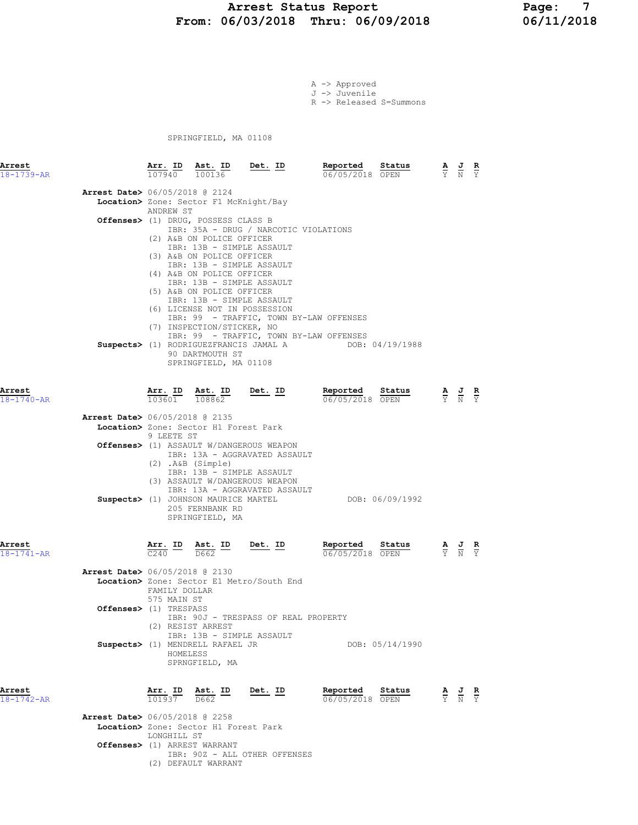### Arrest Status Report Page: 7 From: 06/03/2018 Thru: 06/09/2018

A -> Approved J -> Juvenile

R -> Released S=Summons

SPRINGFIELD, MA 01108

| <b>Arrest</b><br>18-1739-AR |                                                                    |                                          | Arr. ID Ast. ID Det. ID<br>107940 100136                                                                                                                                                                                                                                                                                                                                                                                         |                                                                                                                             | Reported<br>06/05/2018 OPEN                            | Status          | $\overline{Y}$ $\overline{N}$ $\overline{Y}$                    | AJ R                                                                                                  |               |
|-----------------------------|--------------------------------------------------------------------|------------------------------------------|----------------------------------------------------------------------------------------------------------------------------------------------------------------------------------------------------------------------------------------------------------------------------------------------------------------------------------------------------------------------------------------------------------------------------------|-----------------------------------------------------------------------------------------------------------------------------|--------------------------------------------------------|-----------------|-----------------------------------------------------------------|-------------------------------------------------------------------------------------------------------|---------------|
|                             | <b>Arrest Date&gt;</b> 06/05/2018 @ 2124                           | ANDREW ST                                | Location> Zone: Sector F1 McKnight/Bay<br>Offenses> (1) DRUG, POSSESS CLASS B<br>(2) A&B ON POLICE OFFICER<br>IBR: 13B - SIMPLE ASSAULT<br>(3) A&B ON POLICE OFFICER<br>IBR: 13B - SIMPLE ASSAULT<br>(4) A&B ON POLICE OFFICER<br>IBR: 13B - SIMPLE ASSAULT<br>(5) A&B ON POLICE OFFICER<br>IBR: 13B - SIMPLE ASSAULT<br>(6) LICENSE NOT IN POSSESSION<br>(7) INSPECTION/STICKER, NO<br>90 DARTMOUTH ST<br>SPRINGFIELD, MA 01108 | IBR: 35A - DRUG / NARCOTIC VIOLATIONS<br>IBR: 99 - TRAFFIC, TOWN BY-LAW OFFENSES<br>IBR: 99 - TRAFFIC, TOWN BY-LAW OFFENSES | Suspects> (1) RODRIGUEZFRANCIS JAMAL A DOB: 04/19/1988 |                 |                                                                 |                                                                                                       |               |
| Arrest<br>18-1740-AR        |                                                                    |                                          |                                                                                                                                                                                                                                                                                                                                                                                                                                  | $\frac{\texttt{Arr. ID}}{103601}$ $\frac{\texttt{ Ast. ID}}{108862}$ Det. ID                                                | Reported Status<br>06/05/2018 OPEN                     |                 | $\frac{\mathbf{A}}{\mathbf{Y}}$ $\frac{\mathbf{J}}{\mathbf{N}}$ |                                                                                                       | $\frac{R}{Y}$ |
|                             | <b>Arrest Date&gt;</b> 06/05/2018 @ 2135                           | 9 LEETE ST                               | Location> Zone: Sector H1 Forest Park                                                                                                                                                                                                                                                                                                                                                                                            |                                                                                                                             |                                                        |                 |                                                                 |                                                                                                       |               |
|                             |                                                                    |                                          | $(2)$ . A&B $(Simple)$<br>IBR: 13B - SIMPLE ASSAULT                                                                                                                                                                                                                                                                                                                                                                              | <b>Offenses&gt;</b> (1) ASSAULT W/DANGEROUS WEAPON<br>IBR: 13A - AGGRAVATED ASSAULT                                         |                                                        |                 |                                                                 |                                                                                                       |               |
|                             |                                                                    |                                          | 205 FERNBANK RD<br>SPRINGFIELD, MA                                                                                                                                                                                                                                                                                                                                                                                               | (3) ASSAULT W/DANGEROUS WEAPON<br>IBR: 13A - AGGRAVATED ASSAULT<br>Suspects> (1) JOHNSON MAURICE MARTEL                     |                                                        | DOB: 06/09/1992 |                                                                 |                                                                                                       |               |
| Arrest<br>$18 - 1741 - AR$  |                                                                    | $\frac{\texttt{Arr.}}{\texttt{C240}}$ ID | $\frac{\text{Ast.}}{\text{D662}}$ ID<br>$\overline{D662}$                                                                                                                                                                                                                                                                                                                                                                        | $Det. ID$                                                                                                                   | Reported<br>06/05/2018 OPEN                            | Status          |                                                                 | $\frac{\mathbf{A}}{\overline{Y}}$ $\frac{\mathbf{J}}{\overline{N}}$ $\frac{\mathbf{R}}{\overline{Y}}$ |               |
|                             | <b>Arrest Date&gt;</b> 06/05/2018 @ 2130<br>Offenses> (1) TRESPASS | FAMILY DOLLAR<br>575 MAIN ST             |                                                                                                                                                                                                                                                                                                                                                                                                                                  | Location> Zone: Sector E1 Metro/South End<br>IBR: 90J - TRESPASS OF REAL PROPERTY                                           |                                                        |                 |                                                                 |                                                                                                       |               |
|                             |                                                                    | HOMELESS                                 | (2) RESIST ARREST<br>IBR: 13B - SIMPLE ASSAULT<br>Suspects> (1) MENDRELL RAFAEL JR<br>SPRNGFIELD, MA                                                                                                                                                                                                                                                                                                                             |                                                                                                                             |                                                        | DOB: 05/14/1990 |                                                                 |                                                                                                       |               |
| Arrest<br>18-1742-AR        |                                                                    | Arr. ID<br>101937                        | <u>Ast. ID</u><br>D662                                                                                                                                                                                                                                                                                                                                                                                                           | Det. ID                                                                                                                     | Reported<br>06/05/2018 OPEN                            | Status          |                                                                 | $\frac{\mathbf{A}}{\mathbf{Y}}$ $\frac{\mathbf{J}}{\mathbf{N}}$                                       | $\frac{R}{Y}$ |
|                             | <b>Arrest Date&gt;</b> 06/05/2018 @ 2258                           | LONGHILL ST                              | Location> Zone: Sector H1 Forest Park<br>Offenses> (1) ARREST WARRANT                                                                                                                                                                                                                                                                                                                                                            |                                                                                                                             |                                                        |                 |                                                                 |                                                                                                       |               |
|                             |                                                                    |                                          |                                                                                                                                                                                                                                                                                                                                                                                                                                  |                                                                                                                             |                                                        |                 |                                                                 |                                                                                                       |               |

- IBR: 90Z ALL OTHER OFFENSES
- (2) DEFAULT WARRANT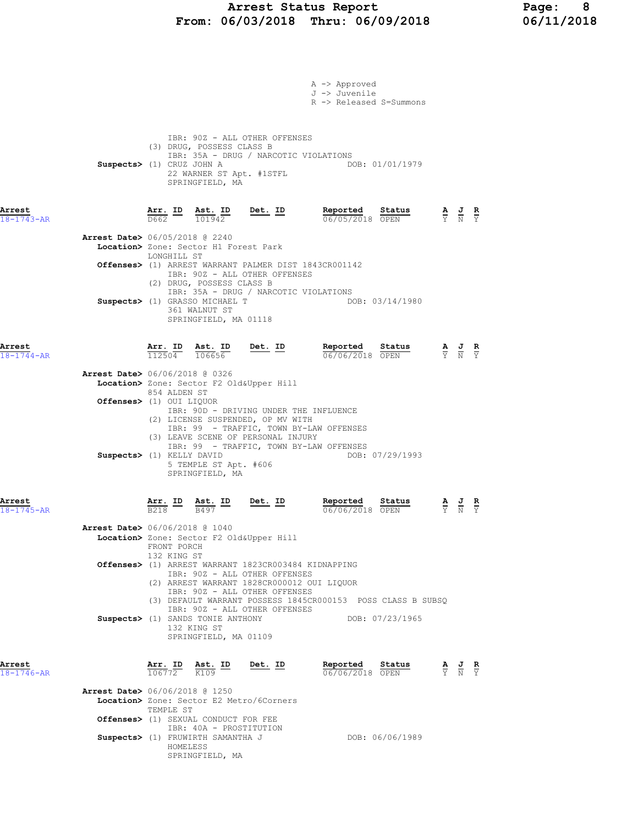## Arrest Status Report Page: 8 From: 06/03/2018 Thru: 06/09/2018 06/11/2018

|                            |                                          |                                          |                                                                                                                                   |                                                                                                                                                                                | A -> Approved<br>J -> Juvenile<br>R -> Released S=Summons                      |                                                                                                 |  |
|----------------------------|------------------------------------------|------------------------------------------|-----------------------------------------------------------------------------------------------------------------------------------|--------------------------------------------------------------------------------------------------------------------------------------------------------------------------------|--------------------------------------------------------------------------------|-------------------------------------------------------------------------------------------------|--|
|                            | Suspects> (1) CRUZ JOHN A                |                                          | (3) DRUG, POSSESS CLASS B<br>22 WARNER ST Apt. #1STFL<br>SPRINGFIELD, MA                                                          | IBR: 90Z - ALL OTHER OFFENSES<br>IBR: 35A - DRUG / NARCOTIC VIOLATIONS                                                                                                         | DOB: 01/01/1979                                                                |                                                                                                 |  |
| Arrest<br>$18 - 1743 - AR$ |                                          | $\frac{\texttt{Arr.}}{\texttt{D662}}$ ID | <u>Ast. ID</u><br>101942                                                                                                          | Det. ID                                                                                                                                                                        | Reported<br>Status<br>06/05/2018 OPEN                                          | $\frac{\mathbf{A}}{\mathbf{Y}}$ $\frac{\mathbf{J}}{\mathbf{N}}$ $\frac{\mathbf{R}}{\mathbf{Y}}$ |  |
|                            | <b>Arrest Date&gt;</b> 06/05/2018 @ 2240 | LONGHILL ST                              | Location> Zone: Sector H1 Forest Park                                                                                             |                                                                                                                                                                                |                                                                                |                                                                                                 |  |
|                            |                                          |                                          | (2) DRUG, POSSESS CLASS B                                                                                                         | IBR: 90Z - ALL OTHER OFFENSES                                                                                                                                                  | Offenses> (1) ARREST WARRANT PALMER DIST 1843CR001142                          |                                                                                                 |  |
|                            |                                          |                                          | Suspects> (1) GRASSO MICHAEL T<br>361 WALNUT ST<br>SPRINGFIELD, MA 01118                                                          | IBR: 35A - DRUG / NARCOTIC VIOLATIONS                                                                                                                                          | DOB: 03/14/1980                                                                |                                                                                                 |  |
| Arrest<br>$18 - 1744 - AR$ |                                          | Arr. ID<br>112504                        | <u>Ast. ID</u><br>106656                                                                                                          | $Det. ID$                                                                                                                                                                      | Reported<br>Status<br>06/06/2018 OPEN                                          | $\frac{\mathbf{A}}{\mathbf{Y}}$ $\frac{\mathbf{J}}{\mathbf{N}}$ $\frac{\mathbf{R}}{\mathbf{Y}}$ |  |
|                            | <b>Arrest Date&gt;</b> 06/06/2018 @ 0326 |                                          |                                                                                                                                   | Location> Zone: Sector F2 Old&Upper Hill                                                                                                                                       |                                                                                |                                                                                                 |  |
|                            | Offenses> (1) OUI LIQUOR                 | 854 ALDEN ST                             |                                                                                                                                   | IBR: 90D - DRIVING UNDER THE INFLUENCE<br>(2) LICENSE SUSPENDED, OP MV WITH<br>(3) LEAVE SCENE OF PERSONAL INJURY                                                              | IBR: 99 - TRAFFIC, TOWN BY-LAW OFFENSES                                        |                                                                                                 |  |
|                            | Suspects> (1) KELLY DAVID                |                                          | 5 TEMPLE ST Apt. #606<br>SPRINGFIELD, MA                                                                                          |                                                                                                                                                                                | IBR: 99 - TRAFFIC, TOWN BY-LAW OFFENSES<br>DOB: 07/29/1993                     |                                                                                                 |  |
| Arrest<br>18-1745-AR       |                                          | B218                                     | $\frac{\texttt{Ast.}}{\texttt{B497}}$                                                                                             | Det. ID                                                                                                                                                                        | Reported<br>Status<br>06/06/2018 OPEN                                          | $\frac{\mathbf{A}}{\mathbf{Y}}$ $\frac{\mathbf{J}}{\mathbf{N}}$ $\frac{\mathbf{R}}{\mathbf{Y}}$ |  |
|                            | Arrest Date> 06/06/2018 @ 1040           | FRONT PORCH                              |                                                                                                                                   | Location> Zone: Sector F2 Old&Upper Hill                                                                                                                                       |                                                                                |                                                                                                 |  |
|                            |                                          | 132 KING ST                              |                                                                                                                                   | <b>Offenses&gt;</b> (1) ARREST WARRANT 1823CR003484 KIDNAPPING<br>IBR: 90Z - ALL OTHER OFFENSES<br>(2) ARREST WARRANT 1828CR000012 OUI LIQUOR<br>IBR: 90Z - ALL OTHER OFFENSES |                                                                                |                                                                                                 |  |
|                            |                                          |                                          | Suspects> (1) SANDS TONIE ANTHONY<br>132 KING ST<br>SPRINGFIELD, MA 01109                                                         | IBR: 90Z - ALL OTHER OFFENSES                                                                                                                                                  | (3) DEFAULT WARRANT POSSESS 1845CR000153 POSS CLASS B SUBSQ<br>DOB: 07/23/1965 |                                                                                                 |  |
| Arrest<br>$18 - 1746 - AR$ |                                          | $\frac{\texttt{Arr.}}{106772}$           | Ast. ID<br>K109                                                                                                                   | <u>Det. ID</u>                                                                                                                                                                 | Reported<br>Status<br>06/06/2018 OPEN                                          | $\frac{\mathbf{A}}{\mathbf{Y}}$ $\frac{\mathbf{J}}{\mathbf{N}}$ $\frac{\mathbf{R}}{\mathbf{Y}}$ |  |
|                            | <b>Arrest Date&gt;</b> 06/06/2018 @ 1250 | TEMPLE ST                                |                                                                                                                                   | Location> Zone: Sector E2 Metro/6Corners                                                                                                                                       |                                                                                |                                                                                                 |  |
|                            |                                          | HOMELESS                                 | <b>Offenses&gt;</b> (1) SEXUAL CONDUCT FOR FEE<br>IBR: 40A - PROSTITUTION<br>Suspects> (1) FRUWIRTH SAMANTHA J<br>SPRINGFIELD, MA |                                                                                                                                                                                | DOB: 06/06/1989                                                                |                                                                                                 |  |
|                            |                                          |                                          |                                                                                                                                   |                                                                                                                                                                                |                                                                                |                                                                                                 |  |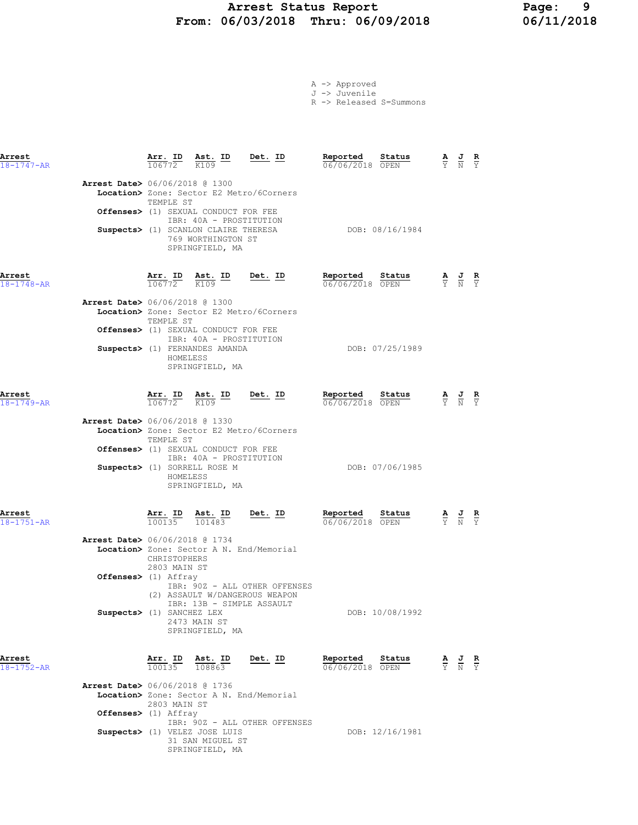### Arrest Status Report Page: 9 From: 06/03/2018 Thru: 06/09/2018 06/11/2018

|  | -> Approved |  |
|--|-------------|--|
|  | $-\sqrt{1}$ |  |

J -> Juvenile

|  | R -> Released S=Summons |
|--|-------------------------|
|  |                         |

| Arrest<br>18-1747-AR       |                                                                  | Arr. ID<br>106772            | <u>Ast. ID</u><br>K109                                                                                                                           | Det. ID                                                                                                     | Reported<br>06/06/2018 OPEN | Status          | $\frac{\mathbf{A}}{\overline{Y}}$ | $\frac{1}{N}$                                                                                   | R<br>$\overline{\mathbf{v}}$  |
|----------------------------|------------------------------------------------------------------|------------------------------|--------------------------------------------------------------------------------------------------------------------------------------------------|-------------------------------------------------------------------------------------------------------------|-----------------------------|-----------------|-----------------------------------|-------------------------------------------------------------------------------------------------|-------------------------------|
|                            | Arrest Date> 06/06/2018 @ 1300                                   | TEMPLE ST                    | Offenses> (1) SEXUAL CONDUCT FOR FEE<br>IBR: 40A - PROSTITUTION<br>Suspects> (1) SCANLON CLAIRE THERESA<br>769 WORTHINGTON ST<br>SPRINGFIELD, MA | Location> Zone: Sector E2 Metro/6Corners                                                                    |                             | DOB: 08/16/1984 |                                   |                                                                                                 |                               |
| Arrest<br>$18 - 1748 - AR$ |                                                                  |                              | $\frac{\texttt{Arr.}}{106772}$ $\frac{\texttt{Ab.}}{K109}$ $\frac{\texttt{lb}}{K109}$                                                            | <u>Det. ID</u>                                                                                              | Reported<br>06/06/2018 OPEN | Status          |                                   | $\frac{\mathbf{A}}{\mathbf{Y}}$ $\frac{\mathbf{J}}{\mathbf{N}}$ $\frac{\mathbf{R}}{\mathbf{Y}}$ |                               |
|                            | <b>Arrest Date&gt;</b> 06/06/2018 @ 1300                         | TEMPLE ST<br>HOMELESS        | <b>Offenses&gt;</b> (1) SEXUAL CONDUCT FOR FEE<br>IBR: 40A - PROSTITUTION<br>Suspects> (1) FERNANDES AMANDA<br>SPRINGFIELD, MA                   | Location> Zone: Sector E2 Metro/6Corners                                                                    |                             | DOB: 07/25/1989 |                                   |                                                                                                 |                               |
| Arrest<br>$18 - 1749 - AR$ |                                                                  |                              | $\frac{\texttt{Arr. ID}}{106772}$ $\frac{\texttt{ Ast. ID}}{K109}$                                                                               | $Det. ID$                                                                                                   | Reported<br>06/06/2018 OPEN | Status          |                                   | $\frac{\mathbf{A}}{\mathbf{Y}}$ $\frac{\mathbf{J}}{\mathbf{N}}$ $\frac{\mathbf{R}}{\mathbf{Y}}$ |                               |
|                            | <b>Arrest Date&gt;</b> 06/06/2018 @ 1330                         | TEMPLE ST<br>HOMELESS        | Offenses> (1) SEXUAL CONDUCT FOR FEE<br>IBR: 40A - PROSTITUTION<br>Suspects> (1) SORRELL ROSE M<br>SPRINGFIELD, MA                               | Location> Zone: Sector E2 Metro/6Corners                                                                    |                             | DOB: 07/06/1985 |                                   |                                                                                                 |                               |
| Arrest<br>$18 - 1751 - AR$ |                                                                  |                              | $\frac{\texttt{Arr.}}{100135}$ $\frac{\texttt{ Ast.}}{101483}$                                                                                   | <u>Det. ID</u>                                                                                              | Reported<br>06/06/2018 OPEN | Status          |                                   | $\frac{\mathbf{A}}{\mathbf{Y}}$ $\frac{\mathbf{J}}{\mathbf{N}}$ $\frac{\mathbf{R}}{\mathbf{Y}}$ |                               |
|                            | <b>Arrest Date&gt;</b> 06/06/2018 @ 1734<br>Offenses> (1) Affray | CHRISTOPHERS<br>2803 MAIN ST |                                                                                                                                                  | Location> Zone: Sector A N. End/Memorial<br>IBR: 90Z - ALL OTHER OFFENSES<br>(2) ASSAULT W/DANGEROUS WEAPON |                             |                 |                                   |                                                                                                 |                               |
|                            | Suspects> (1) SANCHEZ LEX                                        |                              | IBR: 13B - SIMPLE ASSAULT<br>2473 MAIN ST<br>SPRINGFIELD, MA                                                                                     |                                                                                                             |                             | DOB: 10/08/1992 |                                   |                                                                                                 |                               |
| Arrest<br>$18 - 1752 - AR$ |                                                                  | Arr. ID<br>100135            | Ast. ID<br>108863                                                                                                                                | Det. ID                                                                                                     | Reported<br>06/06/2018 OPEN | Status          | $\frac{\mathbf{A}}{\mathrm{Y}}$   | $\frac{J}{N}$                                                                                   | $rac{\mathbf{R}}{\mathrm{Y}}$ |
|                            | <b>Arrest Date&gt;</b> 06/06/2018 @ 1736<br>Offenses> (1) Affray | 2803 MAIN ST                 |                                                                                                                                                  | Location> Zone: Sector A N. End/Memorial                                                                    |                             |                 |                                   |                                                                                                 |                               |
|                            |                                                                  |                              | Suspects> (1) VELEZ JOSE LUIS<br>31 SAN MIGUEL ST                                                                                                | IBR: 90Z - ALL OTHER OFFENSES                                                                               |                             | DOB: 12/16/1981 |                                   |                                                                                                 |                               |

SPRINGFIELD, MA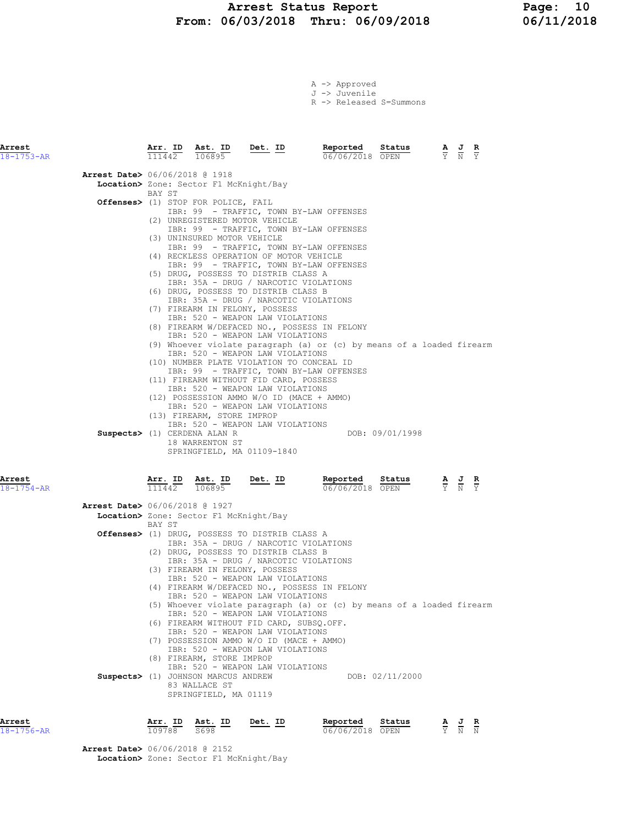# Arrest Status Report 10<br>16/03/2018 Thru: 06/09/2018 16/11/2018 From: 06/03/2018 Thru: 06/09/2018

A -> Approved J -> Juvenile

R -> Released S=Summons

| Arrest<br>$18 - 1753 - AR$ |                                          | Arr. ID<br>111442 | Ast. ID<br>106895                                                                                                                                   | Det. ID                                                                                                                                                                                                                                                                                                                                                                                                                                                                                                                                                                                                                                                                                                                                                                                                                                                                                                          | Reported<br>06/06/2018 OPEN                                           | Status          | A, | J<br>R<br>$\overline{Y}$<br>$\overline{N}$ |
|----------------------------|------------------------------------------|-------------------|-----------------------------------------------------------------------------------------------------------------------------------------------------|------------------------------------------------------------------------------------------------------------------------------------------------------------------------------------------------------------------------------------------------------------------------------------------------------------------------------------------------------------------------------------------------------------------------------------------------------------------------------------------------------------------------------------------------------------------------------------------------------------------------------------------------------------------------------------------------------------------------------------------------------------------------------------------------------------------------------------------------------------------------------------------------------------------|-----------------------------------------------------------------------|-----------------|----|--------------------------------------------|
|                            | <b>Arrest Date&gt;</b> 06/06/2018 @ 1918 |                   |                                                                                                                                                     | Location> Zone: Sector F1 McKnight/Bay                                                                                                                                                                                                                                                                                                                                                                                                                                                                                                                                                                                                                                                                                                                                                                                                                                                                           |                                                                       |                 |    |                                            |
|                            |                                          | BAY ST            | Offenses> (1) STOP FOR POLICE, FAIL<br>(3) UNINSURED MOTOR VEHICLE<br>(13) FIREARM, STORE IMPROP<br>Suspects> (1) CERDENA ALAN R<br>18 WARRENTON ST | IBR: 99 - TRAFFIC, TOWN BY-LAW OFFENSES<br>(2) UNREGISTERED MOTOR VEHICLE<br>IBR: 99 - TRAFFIC, TOWN BY-LAW OFFENSES<br>IBR: 99 - TRAFFIC, TOWN BY-LAW OFFENSES<br>(4) RECKLESS OPERATION OF MOTOR VEHICLE<br>IBR: 99 - TRAFFIC, TOWN BY-LAW OFFENSES<br>(5) DRUG, POSSESS TO DISTRIB CLASS A<br>IBR: 35A - DRUG / NARCOTIC VIOLATIONS<br>(6) DRUG, POSSESS TO DISTRIB CLASS B<br>IBR: 35A - DRUG / NARCOTIC VIOLATIONS<br>(7) FIREARM IN FELONY, POSSESS<br>IBR: 520 - WEAPON LAW VIOLATIONS<br>(8) FIREARM W/DEFACED NO., POSSESS IN FELONY<br>IBR: 520 - WEAPON LAW VIOLATIONS<br>IBR: 520 - WEAPON LAW VIOLATIONS<br>(10) NUMBER PLATE VIOLATION TO CONCEAL ID<br>IBR: 99 - TRAFFIC, TOWN BY-LAW OFFENSES<br>(11) FIREARM WITHOUT FID CARD, POSSESS<br>IBR: 520 - WEAPON LAW VIOLATIONS<br>(12) POSSESSION AMMO W/O ID (MACE + AMMO)<br>IBR: 520 - WEAPON LAW VIOLATIONS<br>IBR: 520 - WEAPON LAW VIOLATIONS | (9) Whoever violate paragraph (a) or (c) by means of a loaded firearm | DOB: 09/01/1998 |    |                                            |
| Arrest<br>$18 - 1754 - AR$ |                                          | Arr. ID<br>111442 | Ast. ID<br>106895                                                                                                                                   | SPRINGFIELD, MA 01109-1840<br><u>Det. ID</u>                                                                                                                                                                                                                                                                                                                                                                                                                                                                                                                                                                                                                                                                                                                                                                                                                                                                     | Reported<br>06/06/2018 OPEN                                           | Status          |    | $rac{\mathbf{R}}{\mathbf{Y}}$              |
|                            | <b>Arrest Date&gt;</b> 06/06/2018 @ 1927 |                   |                                                                                                                                                     |                                                                                                                                                                                                                                                                                                                                                                                                                                                                                                                                                                                                                                                                                                                                                                                                                                                                                                                  |                                                                       |                 |    |                                            |
|                            |                                          | BAY ST            | Location> Zone: Sector F1 McKnight/Bay                                                                                                              |                                                                                                                                                                                                                                                                                                                                                                                                                                                                                                                                                                                                                                                                                                                                                                                                                                                                                                                  |                                                                       |                 |    |                                            |
|                            |                                          |                   |                                                                                                                                                     | Offenses> (1) DRUG, POSSESS TO DISTRIB CLASS A<br>IBR: 35A - DRUG / NARCOTIC VIOLATIONS<br>(2) DRUG, POSSESS TO DISTRIB CLASS B<br>IBR: 35A - DRUG / NARCOTIC VIOLATIONS<br>(3) FIREARM IN FELONY, POSSESS<br>IBR: 520 - WEAPON LAW VIOLATIONS<br>(4) FIREARM W/DEFACED NO., POSSESS IN FELONY<br>IBR: 520 - WEAPON LAW VIOLATIONS<br>IBR: 520 - WEAPON LAW VIOLATIONS<br>(6) FIREARM WITHOUT FID CARD, SUBSQ.OFF.                                                                                                                                                                                                                                                                                                                                                                                                                                                                                               | (5) Whoever violate paragraph (a) or (c) by means of a loaded firearm |                 |    |                                            |
|                            |                                          |                   | (8) FIREARM, STORE IMPROP<br>Suspects> (1) JOHNSON MARCUS ANDREW<br>83 WALLACE ST<br>SPRINGFIELD, MA 01119                                          | IBR: 520 - WEAPON LAW VIOLATIONS<br>(7) POSSESSION AMMO W/O ID (MACE + AMMO)<br>IBR: 520 - WEAPON LAW VIOLATIONS<br>IBR: 520 - WEAPON LAW VIOLATIONS                                                                                                                                                                                                                                                                                                                                                                                                                                                                                                                                                                                                                                                                                                                                                             |                                                                       | DOB: 02/11/2000 |    |                                            |
| Arrest                     |                                          | Arr. ID           | Ast. ID                                                                                                                                             | Det. ID                                                                                                                                                                                                                                                                                                                                                                                                                                                                                                                                                                                                                                                                                                                                                                                                                                                                                                          | Reported                                                              | Status          |    | $A \cup B$                                 |

| Arrest     | Arr. ID | Ast. ID | Det.<br>. ID | Reported        | Status | AJ R  |  |
|------------|---------|---------|--------------|-----------------|--------|-------|--|
| 18-1756-AR | 109788  | S698    |              | 06/06/2018 OPEN |        | Y N N |  |

Arrest Date> 06/06/2018 @ 2152 Location> Zone: Sector F1 McKnight/Bay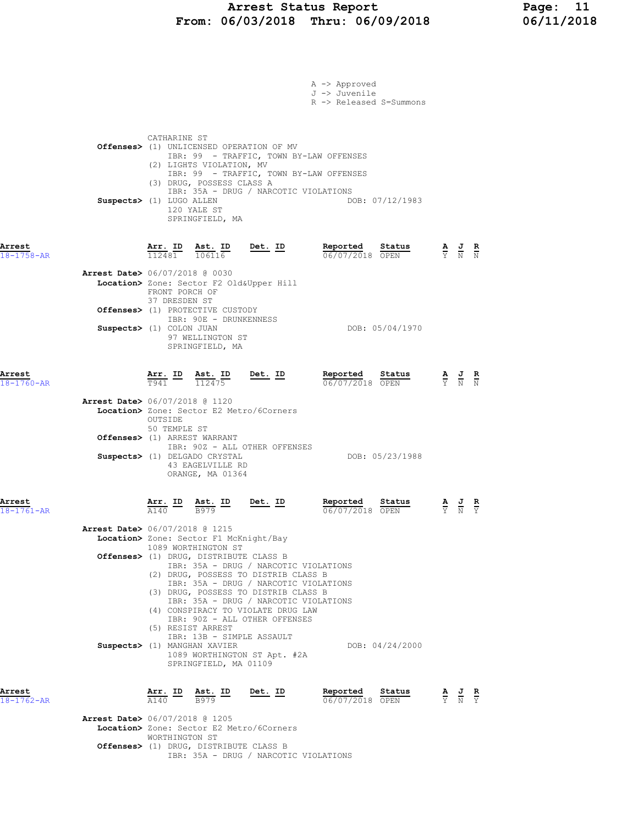# Arrest Status Report 11<br>16/03/2018 Thru: 06/09/2018 16/11/2018 From: 06/03/2018 Thru: 06/09/2018

|                                          |                                 |                                                                                                         |                                                                                                                                                                                                                                                                                                             | A -> Approved<br>J -> Juvenile<br>R -> Released S=Summons                          |                                                                                                 |                                                                                                 |  |
|------------------------------------------|---------------------------------|---------------------------------------------------------------------------------------------------------|-------------------------------------------------------------------------------------------------------------------------------------------------------------------------------------------------------------------------------------------------------------------------------------------------------------|------------------------------------------------------------------------------------|-------------------------------------------------------------------------------------------------|-------------------------------------------------------------------------------------------------|--|
|                                          | CATHARINE ST                    | (2) LIGHTS VIOLATION, MV<br>(3) DRUG, POSSESS CLASS A                                                   | Offenses> (1) UNLICENSED OPERATION OF MV                                                                                                                                                                                                                                                                    | IBR: 99 - TRAFFIC, TOWN BY-LAW OFFENSES<br>IBR: 99 - TRAFFIC, TOWN BY-LAW OFFENSES |                                                                                                 |                                                                                                 |  |
|                                          | Suspects> (1) LUGO ALLEN        | 120 YALE ST<br>SPRINGFIELD, MA                                                                          | IBR: 35A - DRUG / NARCOTIC VIOLATIONS                                                                                                                                                                                                                                                                       | DOB: 07/12/1983                                                                    |                                                                                                 |                                                                                                 |  |
| Arrest<br>18-1758-AR                     |                                 |                                                                                                         | $\frac{\texttt{Arr. ID}}{112481}$ $\frac{\texttt{ Ast. ID}}{106116}$ Det. ID                                                                                                                                                                                                                                | Reported<br>Status<br>06/07/2018 OPEN                                              | $\frac{\mathbf{A}}{\mathrm{Y}}$ $\frac{\mathbf{J}}{\mathrm{N}}$ $\frac{\mathbf{R}}{\mathrm{N}}$ |                                                                                                 |  |
| <b>Arrest Date&gt;</b> 06/07/2018 @ 0030 | FRONT PORCH OF<br>37 DRESDEN ST |                                                                                                         | Location> Zone: Sector F2 Old&Upper Hill                                                                                                                                                                                                                                                                    |                                                                                    |                                                                                                 |                                                                                                 |  |
|                                          | Suspects> (1) COLON JUAN        | Offenses> (1) PROTECTIVE CUSTODY<br>IBR: 90E - DRUNKENNESS<br>97 WELLINGTON ST<br>SPRINGFIELD, MA       |                                                                                                                                                                                                                                                                                                             | DOB: 05/04/1970                                                                    |                                                                                                 |                                                                                                 |  |
| Arrest<br>$18 - 1760 - AR$               |                                 |                                                                                                         | $\frac{\texttt{Arr.}}{\texttt{T941}}$ $\frac{\texttt{Ab.}}{\texttt{112475}}$ $\frac{\texttt{Det.}}{\texttt{12475}}$                                                                                                                                                                                         | Reported<br>Status<br>06/07/2018 OPEN                                              |                                                                                                 | $\frac{\mathbf{A}}{\mathbf{Y}}$ $\frac{\mathbf{J}}{\mathbf{N}}$ $\frac{\mathbf{R}}{\mathbf{N}}$ |  |
| Arrest Date> 06/07/2018 @ 1120           | OUTSIDE<br>50 TEMPLE ST         |                                                                                                         | Location> Zone: Sector E2 Metro/6Corners                                                                                                                                                                                                                                                                    |                                                                                    |                                                                                                 |                                                                                                 |  |
|                                          |                                 | Offenses> (1) ARREST WARRANT<br>Suspects> (1) DELGADO CRYSTAL<br>43 EAGELVILLE RD<br>ORANGE, MA 01364   | IBR: 90Z - ALL OTHER OFFENSES                                                                                                                                                                                                                                                                               | DOB: 05/23/1988                                                                    |                                                                                                 |                                                                                                 |  |
| Arrest<br>$18 - 1761 - AR$               |                                 | $\frac{\text{Ast.}}{\text{B979}}$ ID                                                                    | Det. ID                                                                                                                                                                                                                                                                                                     | Reported<br>Status<br>06/07/2018 OPEN                                              |                                                                                                 | $\frac{\mathbf{A}}{\mathrm{Y}}$ $\frac{\mathbf{J}}{\mathrm{N}}$                                 |  |
| <b>Arrest Date&gt;</b> 06/07/2018 @ 1215 |                                 | Location> Zone: Sector F1 McKnight/Bay<br>1089 WORTHINGTON ST<br>Offenses> (1) DRUG, DISTRIBUTE CLASS B |                                                                                                                                                                                                                                                                                                             |                                                                                    |                                                                                                 |                                                                                                 |  |
|                                          |                                 | (5) RESIST ARREST                                                                                       | IBR: 35A - DRUG / NARCOTIC VIOLATIONS<br>(2) DRUG, POSSESS TO DISTRIB CLASS B<br>IBR: 35A - DRUG / NARCOTIC VIOLATIONS<br>(3) DRUG, POSSESS TO DISTRIB CLASS B<br>IBR: 35A - DRUG / NARCOTIC VIOLATIONS<br>(4) CONSPIRACY TO VIOLATE DRUG LAW<br>IBR: 90Z - ALL OTHER OFFENSES<br>IBR: 13B - SIMPLE ASSAULT |                                                                                    |                                                                                                 |                                                                                                 |  |
|                                          |                                 | Suspects> (1) MANGHAN XAVIER<br>SPRINGFIELD, MA 01109                                                   | 1089 WORTHINGTON ST Apt. #2A                                                                                                                                                                                                                                                                                | DOB: 04/24/2000                                                                    |                                                                                                 |                                                                                                 |  |
| Arrest<br>$18 - 1762 - AR$               | A140                            | Arr. ID Ast. ID<br>B979                                                                                 | <u>Det.</u> ID                                                                                                                                                                                                                                                                                              | Reported<br>Status<br>06/07/2018 OPEN                                              |                                                                                                 | $\frac{\mathbf{A}}{\mathbf{Y}}$ $\frac{\mathbf{J}}{\mathbf{N}}$ $\frac{\mathbf{R}}{\mathbf{Y}}$ |  |
| <b>Arrest Date&gt;</b> 06/07/2018 @ 1205 | WORTHINGTON ST                  |                                                                                                         | Location> Zone: Sector E2 Metro/6Corners                                                                                                                                                                                                                                                                    |                                                                                    |                                                                                                 |                                                                                                 |  |
|                                          |                                 | Offenses> (1) DRUG, DISTRIBUTE CLASS B                                                                  |                                                                                                                                                                                                                                                                                                             |                                                                                    |                                                                                                 |                                                                                                 |  |

IBR: 35A - DRUG / NARCOTIC VIOLATIONS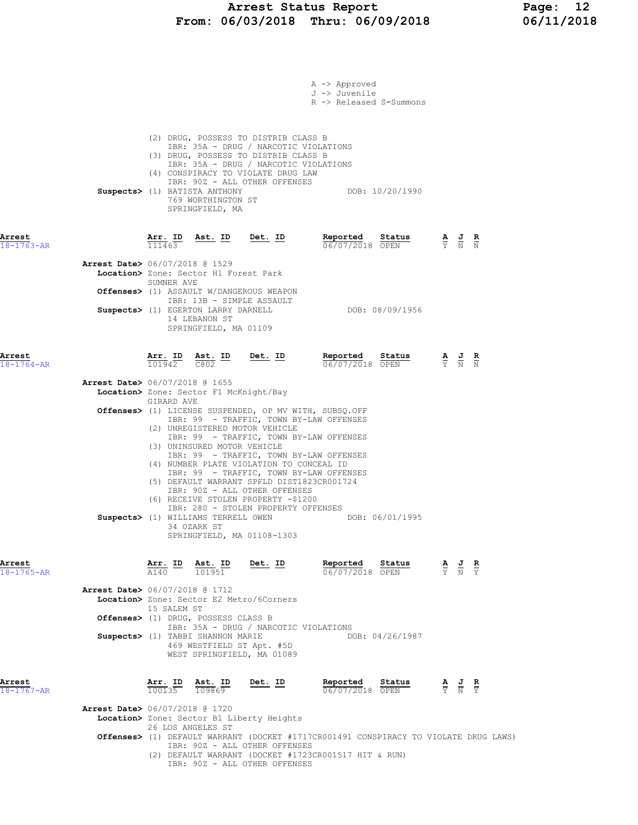### Arrest Status Report Page: 12 From: 06/03/2018 Thru: 06/09/2018 06/11/2018

|                                          |                   |                                                                                                                                                                                                           |                                                                                                                                                                                                                                                                                                                                                                                   | A -> Approved<br>J -> Juvenile<br>R -> Released S=Summons                                                                                    |                 |                                                                                                 |                                                                                                 |  |
|------------------------------------------|-------------------|-----------------------------------------------------------------------------------------------------------------------------------------------------------------------------------------------------------|-----------------------------------------------------------------------------------------------------------------------------------------------------------------------------------------------------------------------------------------------------------------------------------------------------------------------------------------------------------------------------------|----------------------------------------------------------------------------------------------------------------------------------------------|-----------------|-------------------------------------------------------------------------------------------------|-------------------------------------------------------------------------------------------------|--|
|                                          |                   | Suspects> (1) BATISTA ANTHONY<br>769 WORTHINGTON ST<br>SPRINGFIELD, MA                                                                                                                                    | (2) DRUG, POSSESS TO DISTRIB CLASS B<br>IBR: 35A - DRUG / NARCOTIC VIOLATIONS<br>(3) DRUG, POSSESS TO DISTRIB CLASS B<br>IBR: 35A - DRUG / NARCOTIC VIOLATIONS<br>(4) CONSPIRACY TO VIOLATE DRUG LAW<br>IBR: 90Z - ALL OTHER OFFENSES                                                                                                                                             |                                                                                                                                              | DOB: 10/20/1990 |                                                                                                 |                                                                                                 |  |
| Arrest<br>$18 - 1763 - AR$               | Arr. ID<br>111463 | <u>Ast. ID</u>                                                                                                                                                                                            | <u>Det. ID</u>                                                                                                                                                                                                                                                                                                                                                                    | Reported<br>06/07/2018 OPEN                                                                                                                  | Status          |                                                                                                 | $\frac{\mathbf{A}}{\mathbf{Y}}$ $\frac{\mathbf{J}}{\mathbf{N}}$ $\frac{\mathbf{R}}{\mathbf{N}}$ |  |
| <b>Arrest Date&gt;</b> 06/07/2018 @ 1529 | SUMNER AVE        | Location> Zone: Sector H1 Forest Park<br><b>Offenses&gt;</b> (1) ASSAULT W/DANGEROUS WEAPON<br>IBR: 13B - SIMPLE ASSAULT<br>Suspects> (1) EGERTON LARRY DARNELL<br>14 LEBANON ST<br>SPRINGFIELD, MA 01109 |                                                                                                                                                                                                                                                                                                                                                                                   |                                                                                                                                              | DOB: 08/09/1956 |                                                                                                 |                                                                                                 |  |
| Arrest<br>$18 - 1764 - AR$               | Arr. ID<br>101942 | Ast. ID<br>C802                                                                                                                                                                                           | <u>Det.</u> ID                                                                                                                                                                                                                                                                                                                                                                    | Reported<br>06/07/2018 OPEN                                                                                                                  | Status          |                                                                                                 | $\frac{\mathbf{A}}{\mathbf{Y}}$ $\frac{\mathbf{J}}{\mathbf{N}}$                                 |  |
| <b>Arrest Date&gt;</b> 06/07/2018 @ 1655 |                   | Location> Zone: Sector F1 McKnight/Bay                                                                                                                                                                    |                                                                                                                                                                                                                                                                                                                                                                                   |                                                                                                                                              |                 |                                                                                                 |                                                                                                 |  |
|                                          | GIRARD AVE        |                                                                                                                                                                                                           | Offenses> (1) LICENSE SUSPENDED, OP MV WITH, SUBSQ.OFF                                                                                                                                                                                                                                                                                                                            |                                                                                                                                              |                 |                                                                                                 |                                                                                                 |  |
|                                          |                   | (2) UNREGISTERED MOTOR VEHICLE<br>(3) UNINSURED MOTOR VEHICLE<br>Suspects> (1) WILLIAMS TERRELL OWEN<br>34 OZARK ST<br>SPRINGFIELD, MA 01108-1303                                                         | IBR: 99 - TRAFFIC, TOWN BY-LAW OFFENSES<br>IBR: 99 - TRAFFIC, TOWN BY-LAW OFFENSES<br>IBR: 99 - TRAFFIC, TOWN BY-LAW OFFENSES<br>(4) NUMBER PLATE VIOLATION TO CONCEAL ID<br>IBR: 99 - TRAFFIC, TOWN BY-LAW OFFENSES<br>(5) DEFAULT WARRANT SPFLD DIST1823CR001724<br>IBR: 90Z - ALL OTHER OFFENSES<br>(6) RECEIVE STOLEN PROPERTY -\$1200<br>IBR: 280 - STOLEN PROPERTY OFFENSES |                                                                                                                                              | DOB: 06/01/1995 |                                                                                                 |                                                                                                 |  |
| Arrest<br>$18 - 1765 - AR$               |                   | $\frac{\texttt{Arr.}}{\texttt{A140}}$ ID $\frac{\texttt{Ast.}}{101951}$ Det. ID                                                                                                                           |                                                                                                                                                                                                                                                                                                                                                                                   | Reported<br>06/07/2018 OPEN                                                                                                                  | Status          | $\frac{\mathbf{A}}{\mathbf{Y}}$ $\frac{\mathbf{J}}{\mathbf{N}}$ $\frac{\mathbf{R}}{\mathbf{Y}}$ |                                                                                                 |  |
| Arrest Date> 06/07/2018 @ 1712           |                   | Location> Zone: Sector E2 Metro/6Corners                                                                                                                                                                  |                                                                                                                                                                                                                                                                                                                                                                                   |                                                                                                                                              |                 |                                                                                                 |                                                                                                 |  |
|                                          | 15 SALEM ST       | Offenses> (1) DRUG, POSSESS CLASS B                                                                                                                                                                       |                                                                                                                                                                                                                                                                                                                                                                                   |                                                                                                                                              |                 |                                                                                                 |                                                                                                 |  |
|                                          |                   | Suspects> (1) TABBI SHANNON MARIE<br>469 WESTFIELD ST Apt. #5D<br>WEST SPRINGFIELD, MA 01089                                                                                                              | IBR: 35A - DRUG / NARCOTIC VIOLATIONS                                                                                                                                                                                                                                                                                                                                             |                                                                                                                                              | DOB: 04/26/1987 |                                                                                                 |                                                                                                 |  |
| Arrest<br>18-1767-AR                     |                   | $\frac{\text{Arr. ID}}{100135}$ $\frac{\text{Ast. ID}}{109869}$                                                                                                                                           | Det. ID                                                                                                                                                                                                                                                                                                                                                                           | Reported<br>06/07/2018 OPEN                                                                                                                  | Status          | $\frac{A}{Y}$ $\frac{J}{N}$ $\frac{R}{Y}$                                                       |                                                                                                 |  |
| <b>Arrest Date&gt;</b> 06/07/2018 @ 1720 |                   | 26 LOS ANGELES ST                                                                                                                                                                                         | Location> Zone: Sector B1 Liberty Heights                                                                                                                                                                                                                                                                                                                                         |                                                                                                                                              |                 |                                                                                                 |                                                                                                 |  |
|                                          |                   |                                                                                                                                                                                                           | IBR: 90Z - ALL OTHER OFFENSES<br>IBR: 90Z - ALL OTHER OFFENSES                                                                                                                                                                                                                                                                                                                    | Offenses> (1) DEFAULT WARRANT (DOCKET #1717CR001491 CONSPIRACY TO VIOLATE DRUG LAWS)<br>(2) DEFAULT WARRANT (DOCKET #1723CR001517 HIT & RUN) |                 |                                                                                                 |                                                                                                 |  |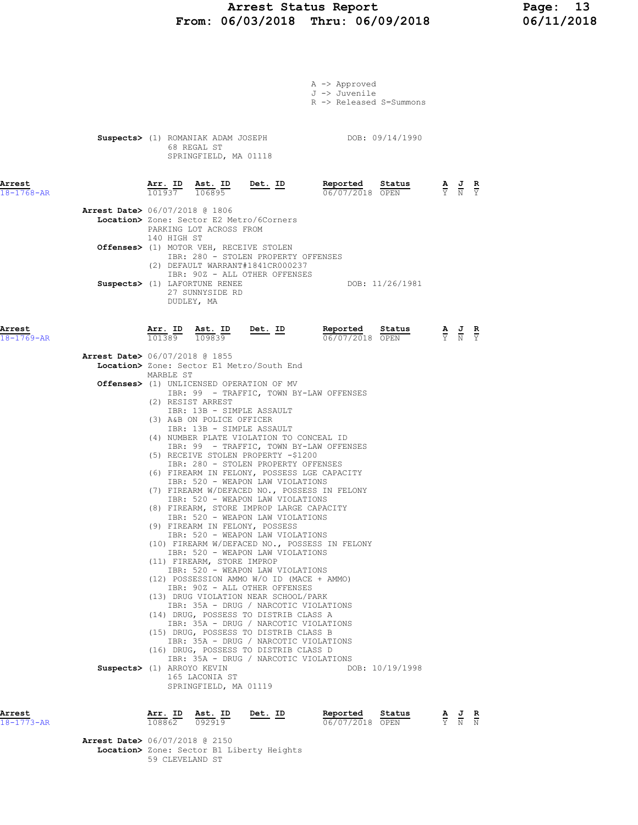# Arrest Status Report 13<br>16/03/2018 Thru: 06/09/2018 16/11/2018 From: 06/03/2018 Thru: 06/09/2018

| Arrest<br>$18 - 1773 - AR$ |                                          | Arr. ID<br>108862                                                                                                                | Ast. ID<br>092919                                                                                                                                            | Det. ID                                                                                                                                                                                                                                                                                                                                                                                                                                                                                                                                                                                                                                                                                                                                                                                                                                                                                                                                              | Reported<br>06/07/2018 OPEN                                                                                                                                                                                                        | Status          | A | $\frac{J}{N}$                                                                                         | R |
|----------------------------|------------------------------------------|----------------------------------------------------------------------------------------------------------------------------------|--------------------------------------------------------------------------------------------------------------------------------------------------------------|------------------------------------------------------------------------------------------------------------------------------------------------------------------------------------------------------------------------------------------------------------------------------------------------------------------------------------------------------------------------------------------------------------------------------------------------------------------------------------------------------------------------------------------------------------------------------------------------------------------------------------------------------------------------------------------------------------------------------------------------------------------------------------------------------------------------------------------------------------------------------------------------------------------------------------------------------|------------------------------------------------------------------------------------------------------------------------------------------------------------------------------------------------------------------------------------|-----------------|---|-------------------------------------------------------------------------------------------------------|---|
|                            |                                          | MARBLE ST<br>(2) RESIST ARREST<br>Suspects> (1) ARROYO KEVIN                                                                     | IBR: 13B - SIMPLE ASSAULT<br>(3) A&B ON POLICE OFFICER<br>IBR: 13B - SIMPLE ASSAULT<br>(11) FIREARM, STORE IMPROP<br>165 LACONIA ST<br>SPRINGFIELD, MA 01119 | Location> Zone: Sector E1 Metro/South End<br><b>Offenses&gt;</b> (1) UNLICENSED OPERATION OF MV<br>(4) NUMBER PLATE VIOLATION TO CONCEAL ID<br>(5) RECEIVE STOLEN PROPERTY -\$1200<br>IBR: 280 - STOLEN PROPERTY OFFENSES<br>IBR: 520 - WEAPON LAW VIOLATIONS<br>IBR: 520 - WEAPON LAW VIOLATIONS<br>(8) FIREARM, STORE IMPROP LARGE CAPACITY<br>IBR: 520 - WEAPON LAW VIOLATIONS<br>(9) FIREARM IN FELONY, POSSESS<br>IBR: 520 - WEAPON LAW VIOLATIONS<br>IBR: 520 - WEAPON LAW VIOLATIONS<br>IBR: 520 - WEAPON LAW VIOLATIONS<br>(12) POSSESSION AMMO W/O ID (MACE + AMMO)<br>IBR: 90Z - ALL OTHER OFFENSES<br>(13) DRUG VIOLATION NEAR SCHOOL/PARK<br>IBR: 35A - DRUG / NARCOTIC VIOLATIONS<br>(14) DRUG, POSSESS TO DISTRIB CLASS A<br>IBR: 35A - DRUG / NARCOTIC VIOLATIONS<br>(15) DRUG, POSSESS TO DISTRIB CLASS B<br>IBR: 35A - DRUG / NARCOTIC VIOLATIONS<br>(16) DRUG, POSSESS TO DISTRIB CLASS D<br>IBR: 35A - DRUG / NARCOTIC VIOLATIONS | IBR: 99 - TRAFFIC, TOWN BY-LAW OFFENSES<br>IBR: 99 - TRAFFIC, TOWN BY-LAW OFFENSES<br>(6) FIREARM IN FELONY, POSSESS LGE CAPACITY<br>(7) FIREARM W/DEFACED NO., POSSESS IN FELONY<br>(10) FIREARM W/DEFACED NO., POSSESS IN FELONY | DOB: 10/19/1998 |   |                                                                                                       |   |
| Arrest<br>18-1769-AR       | <b>Arrest Date&gt; 06/07/2018 @ 1855</b> | $\frac{\text{Arr.}}{101389}$ $\frac{\text{Ast.}}{109839}$                                                                        |                                                                                                                                                              | $Det. ID$                                                                                                                                                                                                                                                                                                                                                                                                                                                                                                                                                                                                                                                                                                                                                                                                                                                                                                                                            | Reported<br>06/07/2018 OPEN                                                                                                                                                                                                        | Status          |   | $\frac{\mathbf{A}}{\mathbf{Y}}$ $\frac{\mathbf{J}}{\mathbf{N}}$ $\frac{\mathbf{R}}{\mathbf{Y}}$       |   |
|                            | <b>Arrest Date&gt; 06/07/2018 @ 1806</b> | PARKING LOT ACROSS FROM<br>140 HIGH ST<br>Offenses> (1) MOTOR VEH, RECEIVE STOLEN<br>Suspects> (1) LAFORTUNE RENEE<br>DUDLEY, MA | 27 SUNNYSIDE RD                                                                                                                                              | Location> Zone: Sector E2 Metro/6Corners<br>IBR: 280 - STOLEN PROPERTY OFFENSES<br>(2) DEFAULT WARRANT#1841CR000237<br>IBR: 90Z - ALL OTHER OFFENSES                                                                                                                                                                                                                                                                                                                                                                                                                                                                                                                                                                                                                                                                                                                                                                                                 |                                                                                                                                                                                                                                    | DOB: 11/26/1981 |   |                                                                                                       |   |
| Arrest<br>$18 - 1768 - AR$ |                                          | 68 REGAL ST<br>$\frac{\texttt{Arr.}}{101937}$ $\frac{\texttt{ Ast.}}{106895}$                                                    | SPRINGFIELD, MA 01118                                                                                                                                        | Det. ID                                                                                                                                                                                                                                                                                                                                                                                                                                                                                                                                                                                                                                                                                                                                                                                                                                                                                                                                              | Suspects> (1) ROMANIAK ADAM JOSEPH DOB: 09/14/1990<br>Reported<br>06/07/2018 OPEN                                                                                                                                                  | Status          |   | $\frac{\mathbf{A}}{\overline{Y}}$ $\frac{\mathbf{J}}{\overline{N}}$ $\frac{\mathbf{R}}{\overline{Y}}$ |   |
|                            |                                          |                                                                                                                                  |                                                                                                                                                              |                                                                                                                                                                                                                                                                                                                                                                                                                                                                                                                                                                                                                                                                                                                                                                                                                                                                                                                                                      | A -> Approved<br>J -> Juvenile<br>R -> Released S=Summons                                                                                                                                                                          |                 |   |                                                                                                       |   |

 Arrest Date> 06/07/2018 @ 2150 Location> Zone: Sector B1 Liberty Heights 59 CLEVELAND ST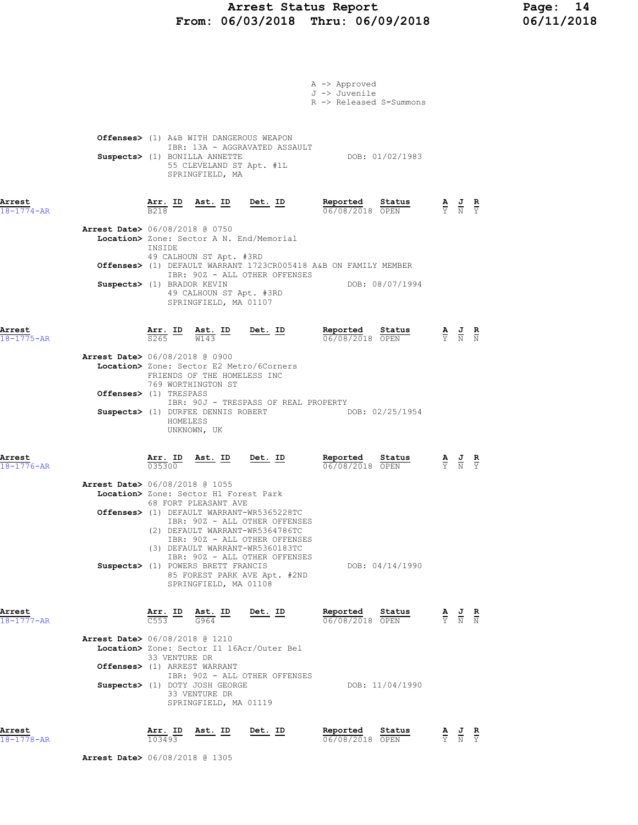### Arrest Status Report Page: 14 From: 06/03/2018 Thru: 06/09/2018 06/11/2018

|                                          |                                                                          |                                                  |                                                                                           | A -> Approved<br>J -> Juvenile<br>R -> Released S=Summons       |                                 |                                                                                                 |  |
|------------------------------------------|--------------------------------------------------------------------------|--------------------------------------------------|-------------------------------------------------------------------------------------------|-----------------------------------------------------------------|---------------------------------|-------------------------------------------------------------------------------------------------|--|
|                                          | Offenses> (1) A&B WITH DANGEROUS WEAPON<br>Suspects> (1) BONILLA ANNETTE | 55 CLEVELAND ST Apt. #1L<br>SPRINGFIELD, MA      | IBR: 13A - AGGRAVATED ASSAULT                                                             | DOB: 01/02/1983                                                 |                                 |                                                                                                 |  |
| Arrest<br>$18 - 1774 - AR$               | B <sub>218</sub>                                                         |                                                  | Arr. ID Ast. ID Det. ID                                                                   | Reported Status<br>06/08/2018 OPEN                              |                                 | $\frac{\mathbf{A}}{\mathbf{Y}}$ $\frac{\mathbf{J}}{\mathbf{N}}$ $\frac{\mathbf{R}}{\mathbf{Y}}$ |  |
| <b>Arrest Date&gt;</b> 06/08/2018 @ 0750 | INSIDE                                                                   |                                                  | Location> Zone: Sector A N. End/Memorial                                                  |                                                                 |                                 |                                                                                                 |  |
|                                          | 49 CALHOUN ST Apt. #3RD                                                  |                                                  |                                                                                           | Offenses> (1) DEFAULT WARRANT 1723CR005418 A&B ON FAMILY MEMBER |                                 |                                                                                                 |  |
|                                          | Suspects> (1) BRADOR KEVIN                                               | 49 CALHOUN ST Apt. #3RD<br>SPRINGFIELD, MA 01107 | IBR: 90Z - ALL OTHER OFFENSES                                                             | DOB: 08/07/1994                                                 |                                 |                                                                                                 |  |
| Arrest<br>$18 - 1775 - AR$               |                                                                          |                                                  | $\frac{\texttt{Arr.}}{\texttt{S265}}$ ID $\frac{\texttt{Ast.}}{\texttt{W143}}$ ID Det. ID | Reported Status<br>06/08/2018 OPEN                              |                                 | $\frac{\mathbf{A}}{\mathbf{Y}}$ $\frac{\mathbf{J}}{\mathbf{N}}$ $\frac{\mathbf{R}}{\mathbf{N}}$ |  |
| <b>Arrest Date&gt;</b> 06/08/2018 @ 0900 | FRIENDS OF THE HOMELESS INC                                              |                                                  | <b>Location&gt;</b> Zone: Sector E2 Metro/6Corners                                        |                                                                 |                                 |                                                                                                 |  |
|                                          | 769 WORTHINGTON ST<br><b>Offenses&gt;</b> (1) TRESPASS                   |                                                  |                                                                                           |                                                                 |                                 |                                                                                                 |  |
|                                          | HOMELESS<br>UNKNOWN, UK                                                  |                                                  | IBR: 90J - TRESPASS OF REAL PROPERTY                                                      | Suspects> (1) DURFEE DENNIS ROBERT DOB: 02/25/1954              |                                 |                                                                                                 |  |
| Arrest<br>$18 - 1776 - AR$               | $\frac{\text{Arr.}}{035300}$                                             | Ast. ID Det. ID                                  |                                                                                           | Reported<br>Status<br>06/08/2018 OPEN                           |                                 | $\frac{\mathbf{A}}{\mathbf{Y}}$ $\frac{\mathbf{J}}{\mathbf{N}}$ $\frac{\mathbf{R}}{\mathbf{Y}}$ |  |
| Arrest Date> 06/08/2018 @ 1055           | Location> Zone: Sector H1 Forest Park                                    |                                                  |                                                                                           |                                                                 |                                 |                                                                                                 |  |
|                                          | 68 FORT PLEASANT AVE                                                     |                                                  | Offenses> (1) DEFAULT WARRANT-WR5365228TC<br>IBR: 90Z - ALL OTHER OFFENSES                |                                                                 |                                 |                                                                                                 |  |
|                                          |                                                                          |                                                  | (2) DEFAULT WARRANT-WR5364786TC<br>IBR: 90Z - ALL OTHER OFFENSES                          |                                                                 |                                 |                                                                                                 |  |
|                                          | Suspects> (1) POWERS BRETT FRANCIS                                       |                                                  | (3) DEFAULT WARRANT-WR5360183TC<br>IBR: 90Z - ALL OTHER OFFENSES                          | DOB: 04/14/1990                                                 |                                 |                                                                                                 |  |
|                                          |                                                                          | SPRINGFIELD, MA 01108                            | 85 FOREST PARK AVE Apt. #2ND                                                              |                                                                 |                                 |                                                                                                 |  |
| Arrest<br>18-1777-AR                     | $\frac{\texttt{Arr.}}{\texttt{C553}}$ ID                                 | Ast. ID<br>G964                                  | <u>Det.</u> ID                                                                            | Reported<br>Status<br>06/08/2018 OPEN                           |                                 | $\frac{\mathbf{A}}{\mathbf{Y}}$ $\frac{\mathbf{J}}{\mathbf{N}}$ $\frac{\mathbf{R}}{\mathbf{N}}$ |  |
| Arrest Date> 06/08/2018 @ 1210           | 33 VENTURE DR                                                            |                                                  | Location> Zone: Sector I1 16Acr/Outer Bel                                                 |                                                                 |                                 |                                                                                                 |  |
|                                          | Offenses> (1) ARREST WARRANT                                             |                                                  | IBR: 90Z - ALL OTHER OFFENSES                                                             |                                                                 |                                 |                                                                                                 |  |
|                                          | Suspects> (1) DOTY JOSH GEORGE                                           | 33 VENTURE DR<br>SPRINGFIELD, MA 01119           |                                                                                           | DOB: 11/04/1990                                                 |                                 |                                                                                                 |  |
| Arrest<br>18-1778-AR                     | Arr. ID<br>103493                                                        | Ast. ID                                          | Det. ID                                                                                   | Reported<br>Status<br>06/08/2018 OPEN                           | $\frac{\mathbf{A}}{\mathrm{Y}}$ | $\frac{J}{N}$ $\frac{R}{Y}$                                                                     |  |

Arrest Date> 06/08/2018 @ 1305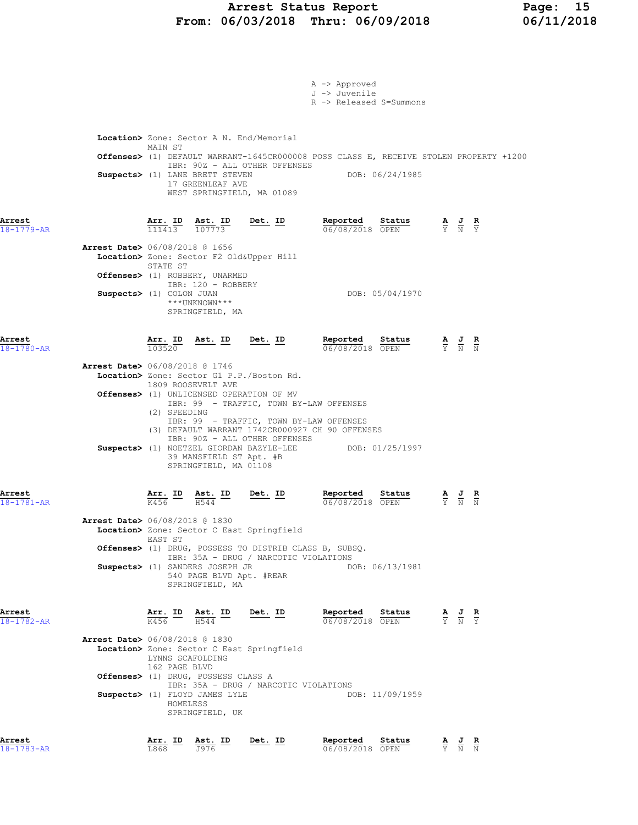### Arrest Status Report Page: 15 From: 06/03/2018 Thru: 06/09/2018 06/11/2018

|                                                                        |                                               |                                                                                                                                                    |                                                                                                                                                                                                                                                                                                                                                        | $A \rightarrow$ Approved<br>J -> Juvenile<br>R -> Released S=Summons |                                                                       |                                                                                                       |  |
|------------------------------------------------------------------------|-----------------------------------------------|----------------------------------------------------------------------------------------------------------------------------------------------------|--------------------------------------------------------------------------------------------------------------------------------------------------------------------------------------------------------------------------------------------------------------------------------------------------------------------------------------------------------|----------------------------------------------------------------------|-----------------------------------------------------------------------|-------------------------------------------------------------------------------------------------------|--|
|                                                                        | MAIN ST                                       | Suspects> (1) LANE BRETT STEVEN<br>17 GREENLEAF AVE                                                                                                | Location> Zone: Sector A N. End/Memorial<br>Offenses> (1) DEFAULT WARRANT-1645CR000008 POSS CLASS E, RECEIVE STOLEN PROPERTY +1200<br>IBR: 90Z - ALL OTHER OFFENSES<br>WEST SPRINGFIELD, MA 01089                                                                                                                                                      |                                                                      | DOB: 06/24/1985                                                       |                                                                                                       |  |
| Arrest<br>18-1779-AR<br><b>Arrest Date&gt;</b> 06/08/2018 @ 1656       |                                               |                                                                                                                                                    | $\frac{\texttt{Arr.}}{111413}$ $\frac{\texttt{Ast.}}{107773}$ Det. ID                                                                                                                                                                                                                                                                                  | <u>Reported</u><br>06/08/2018 OPEN                                   | $\frac{\text{Status}}{\text{OPTM}}$                                   | $\frac{\mathbf{A}}{\mathbf{Y}}$ $\frac{\mathbf{J}}{\mathbf{N}}$ $\frac{\mathbf{R}}{\mathbf{Y}}$       |  |
| Suspects> (1) COLON JUAN                                               | STATE ST                                      | Offenses> (1) ROBBERY, UNARMED<br>IBR: 120 - ROBBERY<br>***UNKNOWN***<br>SPRINGFIELD, MA                                                           | Location> Zone: Sector F2 Old&Upper Hill                                                                                                                                                                                                                                                                                                               |                                                                      | DOB: 05/04/1970                                                       |                                                                                                       |  |
| Arrest<br>$18 - 1780 - AR$<br><b>Arrest Date&gt;</b> 06/08/2018 @ 1746 | 103520<br>(2) SPEEDING                        | 1809 ROOSEVELT AVE<br>39 MANSFIELD ST Apt. #B                                                                                                      | Arr. ID Ast. ID Det. ID<br>Location> Zone: Sector G1 P.P./Boston Rd.<br>Offenses> (1) UNLICENSED OPERATION OF MV<br>IBR: 99 - TRAFFIC, TOWN BY-LAW OFFENSES<br>IBR: 99 - TRAFFIC, TOWN BY-LAW OFFENSES<br>(3) DEFAULT WARRANT 1742CR000927 CH 90 OFFENSES<br>IBR: 90Z - ALL OTHER OFFENSES<br>Suspects> (1) NOETZEL GIORDAN BAZYLE-LEE DOB: 01/25/1997 |                                                                      | <b>Reported Status A J R</b> $\frac{1}{06}/08/2018$ <b>OPEN F N N</b> |                                                                                                       |  |
| Arrest<br>18-1781-AR                                                   | K456                                          | SPRINGFIELD, MA 01108<br>Arr. ID Ast. ID<br>H544                                                                                                   | $Det. ID$                                                                                                                                                                                                                                                                                                                                              | Reported<br>$06/08/2018$ OPEN                                        | Status                                                                | $\frac{\mathbf{A}}{\overline{Y}}$ $\frac{\mathbf{J}}{\overline{N}}$ $\frac{\mathbf{R}}{\overline{N}}$ |  |
| Arrest Date> 06/08/2018 @ 1830                                         | EAST ST                                       | Suspects> (1) SANDERS JOSEPH JR<br>540 PAGE BLVD Apt. #REAR<br>SPRINGFIELD, MA                                                                     | Location> Zone: Sector C East Springfield<br>Offenses> (1) DRUG, POSSESS TO DISTRIB CLASS B, SUBSQ.<br>IBR: 35A - DRUG / NARCOTIC VIOLATIONS                                                                                                                                                                                                           |                                                                      | DOB: 06/13/1981                                                       |                                                                                                       |  |
| Arrest<br>$18 - 1782 - AR$<br><b>Arrest Date&gt;</b> 06/08/2018 @ 1830 | LYNNS SCAFOLDING<br>162 PAGE BLVD<br>HOMELESS | $\frac{\texttt{Arr.}}{\text{K456}}$ ID Ast. ID Det. ID<br>Offenses> (1) DRUG, POSSESS CLASS A<br>Suspects> (1) FLOYD JAMES LYLE<br>SPRINGFIELD, UK | Location> Zone: Sector C East Springfield<br>IBR: 35A - DRUG / NARCOTIC VIOLATIONS                                                                                                                                                                                                                                                                     | Reported Status<br>06/08/2018 OPEN                                   | DOB: 11/09/1959                                                       | $\frac{\mathbf{A}}{\mathbf{Y}}$ $\frac{\mathbf{J}}{\mathbf{N}}$ $\frac{\mathbf{R}}{\mathbf{Y}}$       |  |
| Arrest<br>$8 - 1783 - AR$                                              | $\frac{\texttt{Arr.}}{\texttt{L868}}$ ID      | $\underline{\text{Ast.}}$ ID<br>J976                                                                                                               | Det. ID                                                                                                                                                                                                                                                                                                                                                | Reported<br>06/08/2018 OPEN                                          | Status                                                                | $\frac{\mathbf{A}}{\overline{Y}}$ $\frac{\mathbf{J}}{\overline{N}}$ $\frac{\mathbf{R}}{\overline{N}}$ |  |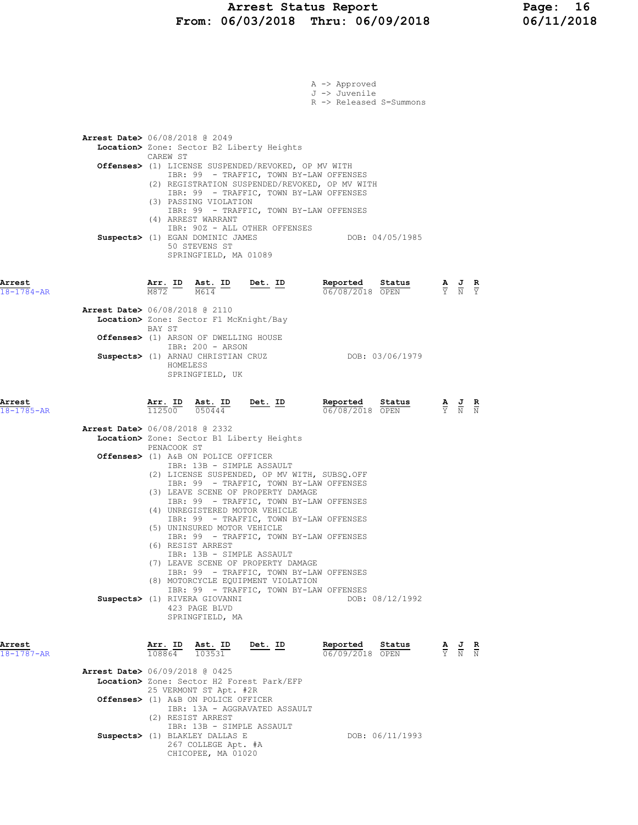### Arrest Status Report Page: 16 From: 06/03/2018 Thru: 06/09/2018 06/11/2018

|                            |                                                                                                                                                                                                        | $A \rightarrow$ Approved<br>J -> Juvenile<br>R -> Released S=Summons |                                                                                                 |
|----------------------------|--------------------------------------------------------------------------------------------------------------------------------------------------------------------------------------------------------|----------------------------------------------------------------------|-------------------------------------------------------------------------------------------------|
|                            | <b>Arrest Date&gt;</b> 06/08/2018 @ 2049<br>Location> Zone: Sector B2 Liberty Heights<br>CAREW ST                                                                                                      |                                                                      |                                                                                                 |
|                            | <b>Offenses&gt;</b> (1) LICENSE SUSPENDED/REVOKED, OP MV WITH<br>IBR: 99 - TRAFFIC, TOWN BY-LAW OFFENSES<br>(2) REGISTRATION SUSPENDED/REVOKED, OP MV WITH                                             |                                                                      |                                                                                                 |
|                            | IBR: 99 - TRAFFIC, TOWN BY-LAW OFFENSES<br>(3) PASSING VIOLATION<br>IBR: 99 - TRAFFIC, TOWN BY-LAW OFFENSES<br>(4) ARREST WARRANT<br>IBR: 90Z - ALL OTHER OFFENSES<br>Suspects> (1) EGAN DOMINIC JAMES | DOB: 04/05/1985                                                      |                                                                                                 |
|                            | 50 STEVENS ST<br>SPRINGFIELD, MA 01089                                                                                                                                                                 |                                                                      |                                                                                                 |
| Arrest<br>18-1784-AR       | $\frac{\texttt{Arr.}}{\texttt{M872}}$ ID $\frac{\texttt{Ast.}}{\texttt{M614}}$ ID<br><u>Det. ID</u>                                                                                                    | Reported<br>Status<br>06/08/2018 OPEN                                | $\frac{\mathbf{A}}{\mathbf{Y}}$ $\frac{\mathbf{J}}{\mathbf{N}}$ $\frac{\mathbf{R}}{\mathbf{Y}}$ |
|                            | <b>Arrest Date&gt;</b> 06/08/2018 @ 2110<br>Location> Zone: Sector F1 McKnight/Bay<br>BAY ST<br>Offenses> (1) ARSON OF DWELLING HOUSE                                                                  |                                                                      |                                                                                                 |
|                            | IBR: 200 - ARSON<br>Suspects> (1) ARNAU CHRISTIAN CRUZ<br>HOMELESS<br>SPRINGFIELD, UK                                                                                                                  | DOB: 03/06/1979                                                      |                                                                                                 |
| Arrest<br>$18 - 1785 - AR$ | Ast. ID<br><u>Det. ID</u><br>Arr. ID<br>112500<br>050444                                                                                                                                               | Reported<br>Status<br>06/08/2018 OPEN                                | $\frac{\mathbf{A}}{\mathbf{Y}}$ $\frac{\mathbf{J}}{\mathbf{N}}$ $\frac{\mathbf{R}}{\mathbf{N}}$ |
|                            | <b>Arrest Date&gt;</b> 06/08/2018 @ 2332<br>Location> Zone: Sector B1 Liberty Heights<br>PENACOOK ST                                                                                                   |                                                                      |                                                                                                 |
|                            | Offenses> (1) A&B ON POLICE OFFICER<br>IBR: 13B - SIMPLE ASSAULT<br>(2) LICENSE SUSPENDED, OP MV WITH, SUBSQ.OFF                                                                                       |                                                                      |                                                                                                 |
|                            | IBR: 99 - TRAFFIC, TOWN BY-LAW OFFENSES<br>(3) LEAVE SCENE OF PROPERTY DAMAGE<br>IBR: 99 - TRAFFIC, TOWN BY-LAW OFFENSES                                                                               |                                                                      |                                                                                                 |
|                            | (4) UNREGISTERED MOTOR VEHICLE<br>IBR: 99 - TRAFFIC, TOWN BY-LAW OFFENSES<br>(5) UNINSURED MOTOR VEHICLE<br>IBR: 99 - TRAFFIC, TOWN BY-LAW OFFENSES                                                    |                                                                      |                                                                                                 |
|                            | (6) RESIST ARREST<br>IBR: 13B - SIMPLE ASSAULT<br>(7) LEAVE SCENE OF PROPERTY DAMAGE                                                                                                                   |                                                                      |                                                                                                 |
|                            | IBR: 99 - TRAFFIC, TOWN BY-LAW OFFENSES<br>(8) MOTORCYCLE EQUIPMENT VIOLATION<br>IBR: 99 - TRAFFIC, TOWN BY-LAW OFFENSES<br>Suspects> (1) RIVERA GIOVANNI                                              | DOB: 08/12/1992                                                      |                                                                                                 |
|                            | 423 PAGE BLVD<br>SPRINGFIELD, MA                                                                                                                                                                       |                                                                      |                                                                                                 |
| Arrest<br>$18 - 1787 - AR$ | Arr. ID<br>Ast. ID<br>Det. ID<br>108864 103531                                                                                                                                                         | Reported<br>Status<br>06/09/2018 OPEN                                | $\frac{\mathbf{A}}{\mathbf{Y}}$ $\frac{\mathbf{J}}{\mathbf{N}}$ $\frac{\mathbf{R}}{\mathbf{N}}$ |
|                            | <b>Arrest Date&gt;</b> 06/09/2018 @ 0425<br>Location> Zone: Sector H2 Forest Park/EFP<br>25 VERMONT ST Apt. #2R<br>Offenses> (1) A&B ON POLICE OFFICER                                                 |                                                                      |                                                                                                 |
|                            | IBR: 13A - AGGRAVATED ASSAULT<br>(2) RESIST ARREST<br>IBR: 13B - SIMPLE ASSAULT                                                                                                                        |                                                                      |                                                                                                 |
|                            | Suspects> (1) BLAKLEY DALLAS E<br>267 COLLEGE Apt. #A<br>CHICOPEE, MA 01020                                                                                                                            | DOB: 06/11/1993                                                      |                                                                                                 |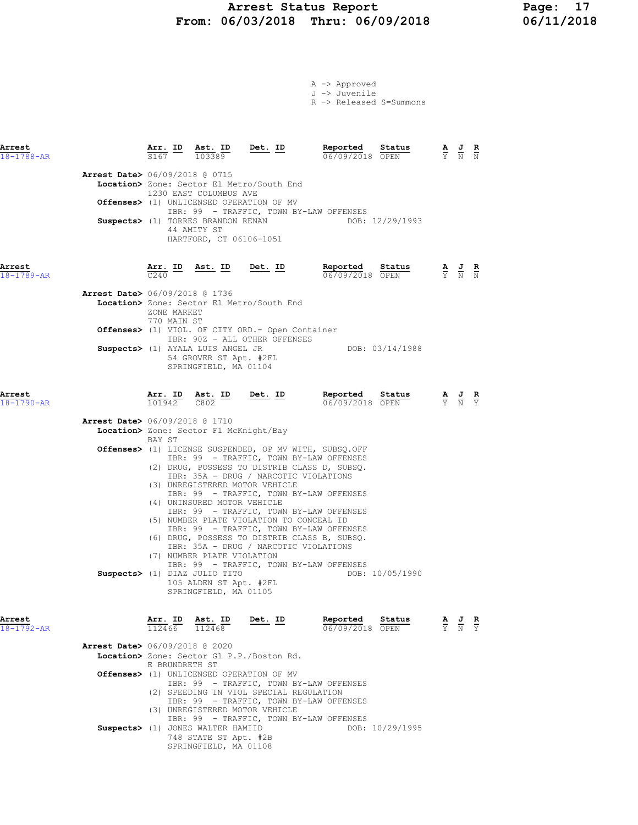# Arrest Status Report Page: 17<br>16/03/2018 Thru: 06/09/2018 06/11/2018 From:  $06/03/2018$  Thru:  $06/09/2018$

|  | A -> Approved |                         |
|--|---------------|-------------------------|
|  | J -> Juvenile |                         |
|  |               | R -> Released S=Summons |

| Arrest<br>$18 - 1788 - AR$               |                            | Arr. ID Ast. ID Det. ID<br>103389                                                                                                             |                                                                                                                                                              | Reported Status<br>06/09/2018 OPEN                                                                                                                                                                                                                                                                                                                                                                         | $\frac{\mathbf{A}}{\mathbf{Y}}$ $\frac{\mathbf{J}}{\mathbf{N}}$ $\frac{\mathbf{R}}{\mathbf{N}}$  |  |
|------------------------------------------|----------------------------|-----------------------------------------------------------------------------------------------------------------------------------------------|--------------------------------------------------------------------------------------------------------------------------------------------------------------|------------------------------------------------------------------------------------------------------------------------------------------------------------------------------------------------------------------------------------------------------------------------------------------------------------------------------------------------------------------------------------------------------------|--------------------------------------------------------------------------------------------------|--|
| <b>Arrest Date&gt;</b> 06/09/2018 @ 0715 |                            | 1230 EAST COLUMBUS AVE<br>Suspects> (1) TORRES BRANDON RENAN<br>44 AMITY ST<br>HARTFORD, CT 06106-1051                                        | Location> Zone: Sector E1 Metro/South End<br>Offenses> (1) UNLICENSED OPERATION OF MV                                                                        | IBR: 99 - TRAFFIC, TOWN BY-LAW OFFENSES<br>DOB: 12/29/1993                                                                                                                                                                                                                                                                                                                                                 |                                                                                                  |  |
| Arrest<br>18-1789-AR                     | $\overline{C}240$          |                                                                                                                                               |                                                                                                                                                              | Arr. ID Ast. ID Det. ID Reported<br>Status<br>06/09/2018 OPEN                                                                                                                                                                                                                                                                                                                                              | $\frac{A}{Y}$ $\frac{J}{N}$ $\frac{R}{N}$                                                        |  |
| <b>Arrest Date&gt;</b> 06/09/2018 @ 1736 | ZONE MARKET<br>770 MAIN ST |                                                                                                                                               | Location> Zone: Sector E1 Metro/South End<br>Offenses> (1) VIOL. OF CITY ORD. - Open Container                                                               |                                                                                                                                                                                                                                                                                                                                                                                                            |                                                                                                  |  |
|                                          |                            | Suspects> (1) AYALA LUIS ANGEL JR<br>54 GROVER ST Apt. #2FL<br>SPRINGFIELD, MA 01104                                                          | IBR: 90Z - ALL OTHER OFFENSES                                                                                                                                | DOB: 03/14/1988                                                                                                                                                                                                                                                                                                                                                                                            |                                                                                                  |  |
| Arrest<br>$18 - 1790 - AR$               | 101942                     | $\overline{c802}$                                                                                                                             | Arr. ID Ast. ID Det. ID                                                                                                                                      | Reported<br>Status<br>06/09/2018 OPEN                                                                                                                                                                                                                                                                                                                                                                      | $\frac{\mathbf{A}}{\mathbf{Y}}$ $\frac{\mathbf{J}}{\mathbf{N}}$ $\frac{\mathbf{R}}{\mathbf{Y}}$  |  |
| <b>Arrest Date&gt;</b> 06/09/2018 @ 1710 | BAY ST                     | Location> Zone: Sector F1 McKnight/Bay                                                                                                        |                                                                                                                                                              |                                                                                                                                                                                                                                                                                                                                                                                                            |                                                                                                  |  |
|                                          |                            | (4) UNINSURED MOTOR VEHICLE<br>(7) NUMBER PLATE VIOLATION<br>Suspects> (1) DIAZ JULIO TITO<br>105 ALDEN ST Apt. #2FL<br>SPRINGFIELD, MA 01105 | IBR: 35A - DRUG / NARCOTIC VIOLATIONS<br>(3) UNREGISTERED MOTOR VEHICLE<br>(5) NUMBER PLATE VIOLATION TO CONCEAL ID<br>IBR: 35A - DRUG / NARCOTIC VIOLATIONS | <b>Offenses&gt;</b> (1) LICENSE SUSPENDED, OP MV WITH, SUBSQ.OFF<br>IBR: 99 - TRAFFIC, TOWN BY-LAW OFFENSES<br>(2) DRUG, POSSESS TO DISTRIB CLASS D, SUBSQ.<br>IBR: 99 - TRAFFIC, TOWN BY-LAW OFFENSES<br>IBR: 99 - TRAFFIC, TOWN BY-LAW OFFENSES<br>IBR: 99 - TRAFFIC, TOWN BY-LAW OFFENSES<br>(6) DRUG, POSSESS TO DISTRIB CLASS B, SUBSQ.<br>IBR: 99 - TRAFFIC, TOWN BY-LAW OFFENSES<br>DOB: 10/05/1990 |                                                                                                  |  |
| Arrest<br>$18 - 1792 - AR$               | Arr. ID<br>112466          | Ast. ID<br>112468                                                                                                                             | <u>Det.</u> ID                                                                                                                                               | Reported<br>Status<br>06/09/2018 OPEN                                                                                                                                                                                                                                                                                                                                                                      | $\frac{\mathbf{A}}{\mathbf{Y}}$ $\frac{\mathbf{J}}{\mathbf{N}}$<br>$rac{\mathbf{R}}{\mathrm{Y}}$ |  |
| <b>Arrest Date&gt;</b> 06/09/2018 @ 2020 | E BRUNDRETH ST             |                                                                                                                                               | Location> Zone: Sector G1 P.P./Boston Rd.<br>Offenses> (1) UNLICENSED OPERATION OF MV                                                                        | IBR: 99 - TRAFFIC, TOWN BY-LAW OFFENSES                                                                                                                                                                                                                                                                                                                                                                    |                                                                                                  |  |
|                                          |                            | Suspects> (1) JONES WALTER HAMIID<br>748 STATE ST Apt. #2B                                                                                    | (2) SPEEDING IN VIOL SPECIAL REGULATION<br>(3) UNREGISTERED MOTOR VEHICLE                                                                                    | IBR: 99 - TRAFFIC, TOWN BY-LAW OFFENSES<br>IBR: 99 - TRAFFIC, TOWN BY-LAW OFFENSES<br>DOB: 10/29/1995                                                                                                                                                                                                                                                                                                      |                                                                                                  |  |

SPRINGFIELD, MA 01108